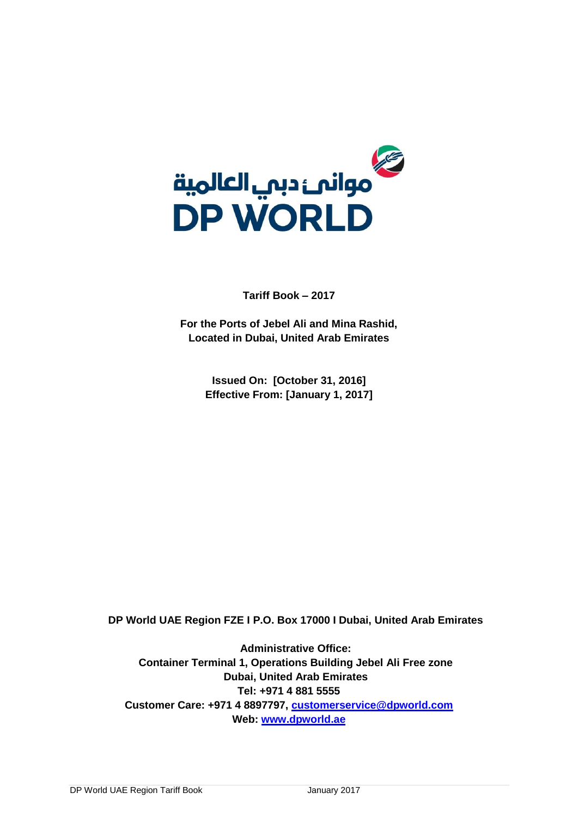

**Tariff Book – 2017**

**For the Ports of Jebel Ali and Mina Rashid, Located in Dubai, United Arab Emirates**

> **Issued On: [October 31, 2016] Effective From: [January 1, 2017]**

**DP World UAE Region FZE I P.O. Box 17000 I Dubai, United Arab Emirates**

**Administrative Office: Container Terminal 1, Operations Building Jebel Ali Free zone Dubai, United Arab Emirates Tel: +971 4 881 5555 Customer Care: +971 4 8897797, [customerservice@dpworld.com](mailto:customerservice@dpworld.com) Web: [www.dpworld.ae](http://www.dpworld.ae/)**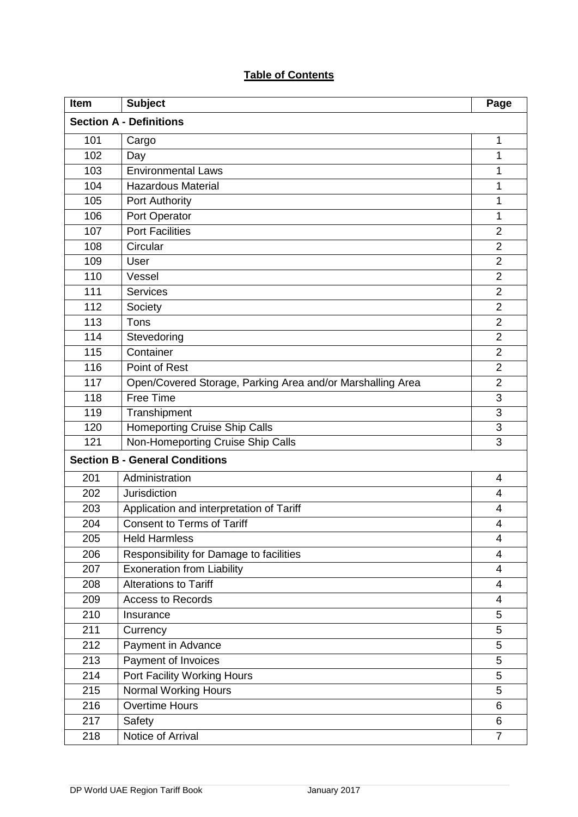# **Table of Contents**

| Item                           | <b>Subject</b>                                             | Page           |
|--------------------------------|------------------------------------------------------------|----------------|
| <b>Section A - Definitions</b> |                                                            |                |
| 101                            | Cargo                                                      | $\mathbf{1}$   |
| 102                            | Day                                                        | 1              |
| 103                            | <b>Environmental Laws</b>                                  | 1              |
| 104                            | <b>Hazardous Material</b>                                  | 1              |
| 105                            | <b>Port Authority</b>                                      | 1              |
| 106                            | Port Operator                                              | 1              |
| 107                            | <b>Port Facilities</b>                                     | $\overline{2}$ |
| 108                            | Circular                                                   | $\overline{2}$ |
| 109                            | User                                                       | $\overline{2}$ |
| 110                            | Vessel                                                     | $\overline{2}$ |
| 111                            | <b>Services</b>                                            | $\overline{2}$ |
| 112                            | Society                                                    | $\overline{2}$ |
| 113                            | Tons                                                       | $\overline{2}$ |
| 114                            | Stevedoring                                                | $\overline{2}$ |
| 115                            | Container                                                  | $\overline{2}$ |
| 116                            | Point of Rest                                              | $\overline{2}$ |
| 117                            | Open/Covered Storage, Parking Area and/or Marshalling Area | $\overline{2}$ |
| 118                            | <b>Free Time</b>                                           | 3              |
| 119                            | Transhipment                                               | 3              |
| 120                            | <b>Homeporting Cruise Ship Calls</b>                       | 3              |
| 121                            | Non-Homeporting Cruise Ship Calls                          | 3              |
|                                | <b>Section B - General Conditions</b>                      |                |
| 201                            | Administration                                             | 4              |
| 202                            | Jurisdiction                                               | 4              |
| 203                            | Application and interpretation of Tariff                   | 4              |
| 204                            | <b>Consent to Terms of Tariff</b>                          | 4              |
| 205                            | <b>Held Harmless</b>                                       | 4              |
| 206                            | Responsibility for Damage to facilities                    | 4              |
| 207                            | <b>Exoneration from Liability</b>                          | 4              |
| 208                            | <b>Alterations to Tariff</b>                               | $\overline{4}$ |
| 209                            | <b>Access to Records</b>                                   | 4              |
| 210                            | Insurance                                                  | 5              |
| 211                            | Currency                                                   | 5              |
| 212                            | Payment in Advance                                         | 5              |
| 213                            | Payment of Invoices                                        | 5              |
| 214                            | Port Facility Working Hours                                | 5              |
| 215                            | Normal Working Hours                                       | 5              |
| 216                            | <b>Overtime Hours</b>                                      | 6              |
| 217                            | Safety                                                     | 6              |
| 218                            | Notice of Arrival                                          | $\overline{7}$ |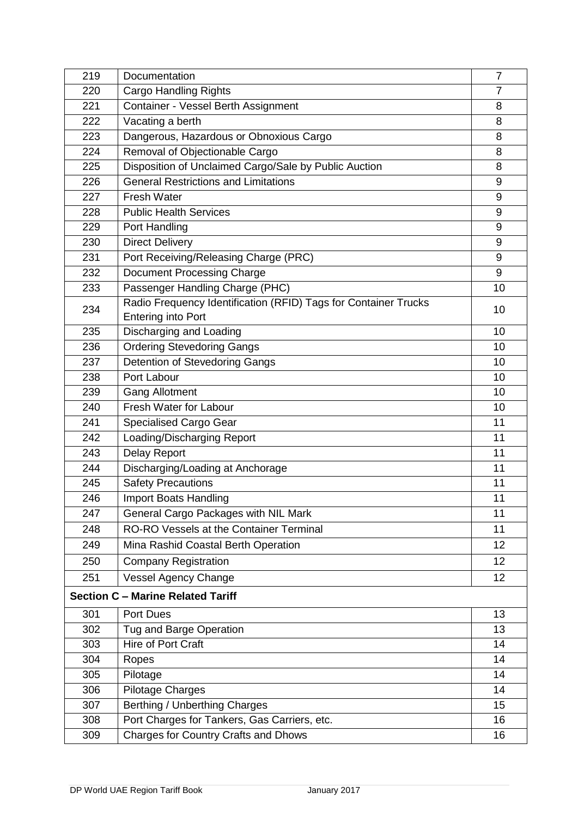| 219                                      | Documentation                                                   |    |
|------------------------------------------|-----------------------------------------------------------------|----|
| 220                                      | <b>Cargo Handling Rights</b>                                    |    |
| 221                                      | <b>Container - Vessel Berth Assignment</b>                      | 8  |
| 222                                      | Vacating a berth                                                | 8  |
| 223                                      | Dangerous, Hazardous or Obnoxious Cargo                         | 8  |
| 224                                      | Removal of Objectionable Cargo                                  | 8  |
| 225                                      | Disposition of Unclaimed Cargo/Sale by Public Auction           | 8  |
| 226                                      | <b>General Restrictions and Limitations</b>                     | 9  |
| 227                                      | <b>Fresh Water</b>                                              | 9  |
| 228                                      | <b>Public Health Services</b>                                   | 9  |
| 229                                      | Port Handling                                                   | 9  |
| 230                                      | <b>Direct Delivery</b>                                          | 9  |
| 231                                      | Port Receiving/Releasing Charge (PRC)                           | 9  |
| 232                                      | <b>Document Processing Charge</b>                               | 9  |
| 233                                      | Passenger Handling Charge (PHC)                                 | 10 |
| 234                                      | Radio Frequency Identification (RFID) Tags for Container Trucks | 10 |
|                                          | <b>Entering into Port</b>                                       |    |
| 235                                      | Discharging and Loading                                         | 10 |
| 236                                      | <b>Ordering Stevedoring Gangs</b>                               | 10 |
| 237                                      | Detention of Stevedoring Gangs                                  | 10 |
| 238                                      | Port Labour                                                     | 10 |
| 239                                      | <b>Gang Allotment</b>                                           | 10 |
| 240                                      | Fresh Water for Labour                                          | 10 |
| 241                                      | <b>Specialised Cargo Gear</b>                                   | 11 |
| 242                                      | Loading/Discharging Report                                      | 11 |
| 243                                      | <b>Delay Report</b>                                             | 11 |
| 244                                      | Discharging/Loading at Anchorage                                | 11 |
| 245                                      | <b>Safety Precautions</b>                                       | 11 |
| 246                                      | <b>Import Boats Handling</b>                                    | 11 |
| 247                                      | General Cargo Packages with NIL Mark                            | 11 |
| 248                                      | <b>RO-RO Vessels at the Container Terminal</b>                  | 11 |
| 249                                      | Mina Rashid Coastal Berth Operation                             | 12 |
| 250                                      | <b>Company Registration</b>                                     | 12 |
| 251                                      | <b>Vessel Agency Change</b>                                     | 12 |
| <b>Section C - Marine Related Tariff</b> |                                                                 |    |
| 301                                      | <b>Port Dues</b>                                                | 13 |
| 302                                      | Tug and Barge Operation                                         | 13 |
| 303                                      | Hire of Port Craft                                              | 14 |
| 304                                      | Ropes                                                           | 14 |
| 305                                      | Pilotage                                                        | 14 |
| 306                                      | <b>Pilotage Charges</b>                                         | 14 |
| 307                                      | Berthing / Unberthing Charges                                   | 15 |
| 308                                      | Port Charges for Tankers, Gas Carriers, etc.                    | 16 |
| 309                                      | <b>Charges for Country Crafts and Dhows</b>                     | 16 |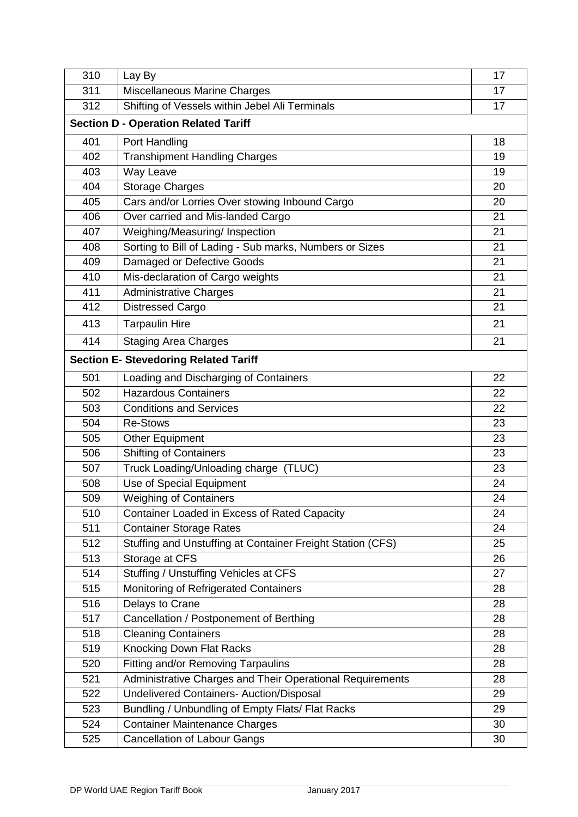| 310                                         | Lay By                                                     | 17 |  |
|---------------------------------------------|------------------------------------------------------------|----|--|
| 311                                         | Miscellaneous Marine Charges                               |    |  |
| 312                                         | Shifting of Vessels within Jebel Ali Terminals             |    |  |
| <b>Section D - Operation Related Tariff</b> |                                                            |    |  |
| 401                                         | Port Handling                                              | 18 |  |
| 402                                         | <b>Transhipment Handling Charges</b>                       | 19 |  |
| 403                                         | Way Leave                                                  | 19 |  |
| 404                                         | <b>Storage Charges</b>                                     | 20 |  |
| 405                                         | Cars and/or Lorries Over stowing Inbound Cargo             | 20 |  |
| 406                                         | Over carried and Mis-landed Cargo                          | 21 |  |
| 407                                         | Weighing/Measuring/ Inspection                             | 21 |  |
| 408                                         | Sorting to Bill of Lading - Sub marks, Numbers or Sizes    | 21 |  |
| 409                                         | Damaged or Defective Goods                                 | 21 |  |
| 410                                         | Mis-declaration of Cargo weights                           | 21 |  |
| 411                                         | <b>Administrative Charges</b>                              | 21 |  |
| 412                                         | <b>Distressed Cargo</b>                                    | 21 |  |
| 413                                         | <b>Tarpaulin Hire</b>                                      | 21 |  |
| 414                                         | <b>Staging Area Charges</b>                                | 21 |  |
|                                             | <b>Section E- Stevedoring Related Tariff</b>               |    |  |
| 501                                         | Loading and Discharging of Containers                      | 22 |  |
| 502                                         | <b>Hazardous Containers</b>                                | 22 |  |
| 503                                         | <b>Conditions and Services</b>                             | 22 |  |
| 504                                         | <b>Re-Stows</b>                                            | 23 |  |
| 505                                         | <b>Other Equipment</b>                                     | 23 |  |
| 506                                         | <b>Shifting of Containers</b>                              | 23 |  |
| 507                                         | Truck Loading/Unloading charge (TLUC)                      | 23 |  |
| 508                                         | Use of Special Equipment                                   | 24 |  |
| 509                                         | <b>Weighing of Containers</b>                              | 24 |  |
| 510                                         | Container Loaded in Excess of Rated Capacity               | 24 |  |
| 511                                         | <b>Container Storage Rates</b>                             | 24 |  |
| 512                                         | Stuffing and Unstuffing at Container Freight Station (CFS) | 25 |  |
| 513                                         | Storage at CFS                                             | 26 |  |
| 514                                         | Stuffing / Unstuffing Vehicles at CFS                      | 27 |  |
| 515                                         | Monitoring of Refrigerated Containers                      | 28 |  |
| 516                                         | Delays to Crane                                            | 28 |  |
| 517                                         | Cancellation / Postponement of Berthing                    | 28 |  |
| 518                                         | <b>Cleaning Containers</b>                                 | 28 |  |
| 519                                         | <b>Knocking Down Flat Racks</b>                            | 28 |  |
| 520                                         | Fitting and/or Removing Tarpaulins                         | 28 |  |
| 521                                         | Administrative Charges and Their Operational Requirements  | 28 |  |
| 522                                         | <b>Undelivered Containers- Auction/Disposal</b>            | 29 |  |
| 523                                         | Bundling / Unbundling of Empty Flats/ Flat Racks           | 29 |  |
| 524                                         | <b>Container Maintenance Charges</b>                       | 30 |  |
| 525                                         | <b>Cancellation of Labour Gangs</b>                        | 30 |  |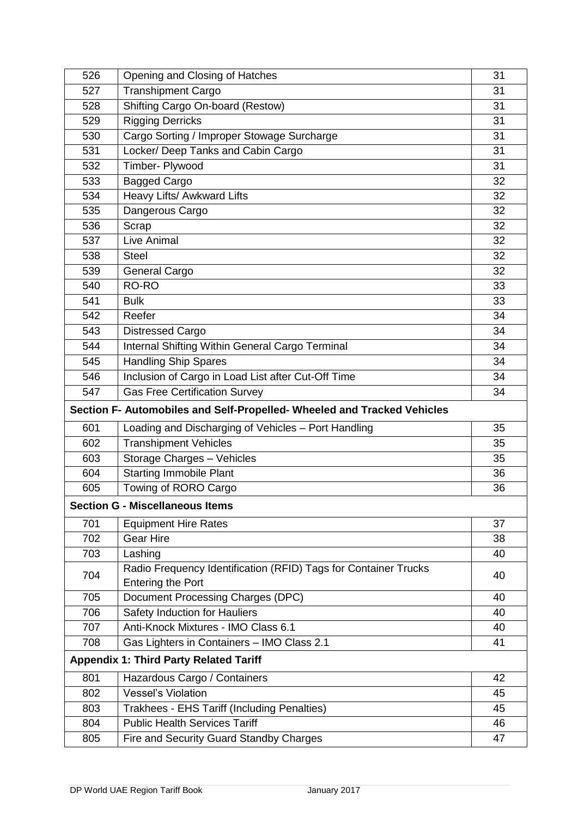| 526 | Opening and Closing of Hatches                                          | 31 |
|-----|-------------------------------------------------------------------------|----|
| 527 | Transhipment Cargo                                                      |    |
| 528 | Shifting Cargo On-board (Restow)                                        | 31 |
| 529 | <b>Rigging Derricks</b>                                                 | 31 |
| 530 | Cargo Sorting / Improper Stowage Surcharge                              | 31 |
| 531 | Locker/ Deep Tanks and Cabin Cargo                                      | 31 |
| 532 | Timber- Plywood                                                         | 31 |
| 533 | <b>Bagged Cargo</b>                                                     | 32 |
| 534 | Heavy Lifts/ Awkward Lifts                                              | 32 |
| 535 | Dangerous Cargo                                                         | 32 |
| 536 | Scrap                                                                   | 32 |
| 537 | Live Animal                                                             | 32 |
| 538 | <b>Steel</b>                                                            | 32 |
| 539 | <b>General Cargo</b>                                                    | 32 |
| 540 | RO-RO                                                                   | 33 |
| 541 | <b>Bulk</b>                                                             | 33 |
| 542 | Reefer                                                                  | 34 |
| 543 | <b>Distressed Cargo</b>                                                 | 34 |
| 544 | Internal Shifting Within General Cargo Terminal                         | 34 |
| 545 | <b>Handling Ship Spares</b>                                             | 34 |
| 546 | Inclusion of Cargo in Load List after Cut-Off Time                      | 34 |
| 547 | <b>Gas Free Certification Survey</b>                                    | 34 |
|     | Section F- Automobiles and Self-Propelled- Wheeled and Tracked Vehicles |    |
| 601 | Loading and Discharging of Vehicles - Port Handling                     | 35 |
| 602 | <b>Transhipment Vehicles</b>                                            | 35 |
| 603 | Storage Charges - Vehicles                                              | 35 |
| 604 | <b>Starting Immobile Plant</b>                                          | 36 |
| 605 | Towing of RORO Cargo                                                    | 36 |
|     | <b>Section G - Miscellaneous Items</b>                                  |    |
| 701 | <b>Equipment Hire Rates</b>                                             | 37 |
| 702 | <b>Gear Hire</b>                                                        | 38 |
| 703 | Lashing                                                                 | 40 |
|     | Radio Frequency Identification (RFID) Tags for Container Trucks         |    |
| 704 | <b>Entering the Port</b>                                                | 40 |
| 705 | Document Processing Charges (DPC)                                       | 40 |
| 706 | Safety Induction for Hauliers                                           | 40 |
| 707 | Anti-Knock Mixtures - IMO Class 6.1                                     | 40 |
| 708 | Gas Lighters in Containers - IMO Class 2.1                              | 41 |
|     | <b>Appendix 1: Third Party Related Tariff</b>                           |    |
| 801 | Hazardous Cargo / Containers                                            | 42 |
| 802 | <b>Vessel's Violation</b>                                               | 45 |
| 803 | Trakhees - EHS Tariff (Including Penalties)                             | 45 |
| 804 | <b>Public Health Services Tariff</b>                                    | 46 |
| 805 | Fire and Security Guard Standby Charges                                 | 47 |
|     |                                                                         |    |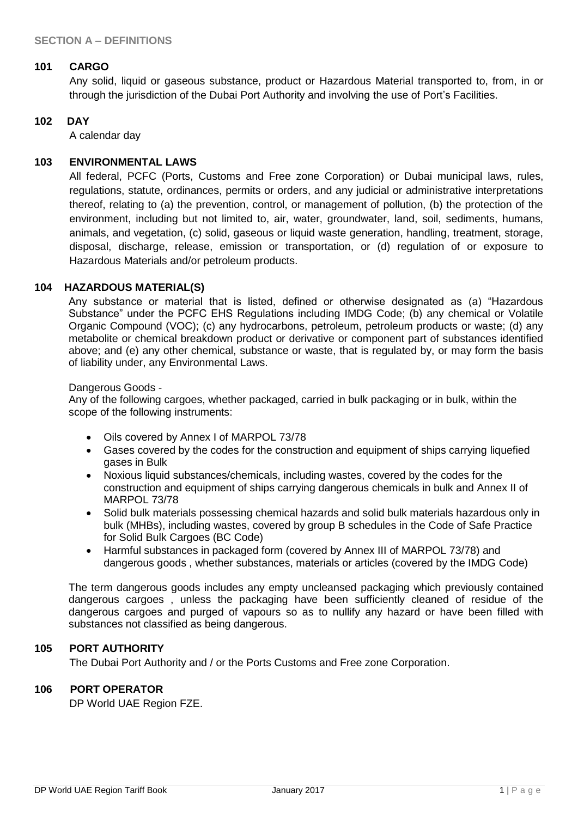#### **101 CARGO**

Any solid, liquid or gaseous substance, product or Hazardous Material transported to, from, in or through the jurisdiction of the Dubai Port Authority and involving the use of Port's Facilities.

#### **102 DAY**

A calendar day

#### **103 ENVIRONMENTAL LAWS**

All federal, PCFC (Ports, Customs and Free zone Corporation) or Dubai municipal laws, rules, regulations, statute, ordinances, permits or orders, and any judicial or administrative interpretations thereof, relating to (a) the prevention, control, or management of pollution, (b) the protection of the environment, including but not limited to, air, water, groundwater, land, soil, sediments, humans, animals, and vegetation, (c) solid, gaseous or liquid waste generation, handling, treatment, storage, disposal, discharge, release, emission or transportation, or (d) regulation of or exposure to Hazardous Materials and/or petroleum products.

#### **104 HAZARDOUS MATERIAL(S)**

Any substance or material that is listed, defined or otherwise designated as (a) "Hazardous Substance" under the PCFC EHS Regulations including IMDG Code; (b) any chemical or Volatile Organic Compound (VOC); (c) any hydrocarbons, petroleum, petroleum products or waste; (d) any metabolite or chemical breakdown product or derivative or component part of substances identified above; and (e) any other chemical, substance or waste, that is regulated by, or may form the basis of liability under, any Environmental Laws.

#### Dangerous Goods -

Any of the following cargoes, whether packaged, carried in bulk packaging or in bulk, within the scope of the following instruments:

- Oils covered by Annex I of MARPOL 73/78
- Gases covered by the codes for the construction and equipment of ships carrying liquefied gases in Bulk
- Noxious liquid substances/chemicals, including wastes, covered by the codes for the construction and equipment of ships carrying dangerous chemicals in bulk and Annex II of MARPOL 73/78
- Solid bulk materials possessing chemical hazards and solid bulk materials hazardous only in bulk (MHBs), including wastes, covered by group B schedules in the Code of Safe Practice for Solid Bulk Cargoes (BC Code)
- Harmful substances in packaged form (covered by Annex III of MARPOL 73/78) and dangerous goods , whether substances, materials or articles (covered by the IMDG Code)

The term dangerous goods includes any empty uncleansed packaging which previously contained dangerous cargoes , unless the packaging have been sufficiently cleaned of residue of the dangerous cargoes and purged of vapours so as to nullify any hazard or have been filled with substances not classified as being dangerous.

#### **105 PORT AUTHORITY**

The Dubai Port Authority and / or the Ports Customs and Free zone Corporation.

#### **106 PORT OPERATOR**

DP World UAE Region FZE.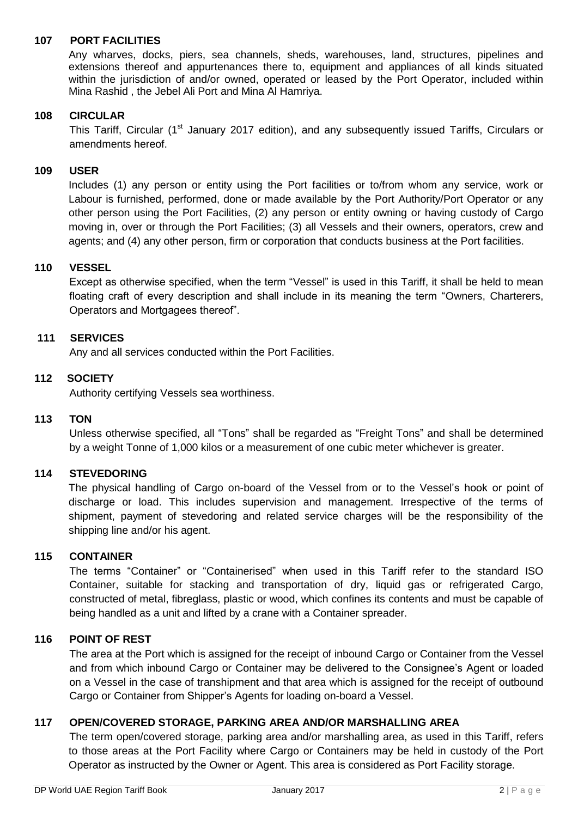## **107 PORT FACILITIES**

Any wharves, docks, piers, sea channels, sheds, warehouses, land, structures, pipelines and extensions thereof and appurtenances there to, equipment and appliances of all kinds situated within the jurisdiction of and/or owned, operated or leased by the Port Operator, included within Mina Rashid , the Jebel Ali Port and Mina Al Hamriya.

## **108 CIRCULAR**

This Tariff, Circular (1<sup>st</sup> January 2017 edition), and any subsequently issued Tariffs, Circulars or amendments hereof.

## **109 USER**

Includes (1) any person or entity using the Port facilities or to/from whom any service, work or Labour is furnished, performed, done or made available by the Port Authority/Port Operator or any other person using the Port Facilities, (2) any person or entity owning or having custody of Cargo moving in, over or through the Port Facilities; (3) all Vessels and their owners, operators, crew and agents; and (4) any other person, firm or corporation that conducts business at the Port facilities.

#### **110 VESSEL**

Except as otherwise specified, when the term "Vessel" is used in this Tariff, it shall be held to mean floating craft of every description and shall include in its meaning the term "Owners, Charterers, Operators and Mortgagees thereof".

#### **111 SERVICES**

Any and all services conducted within the Port Facilities.

## **112 SOCIETY**

Authority certifying Vessels sea worthiness.

#### **113 TON**

Unless otherwise specified, all "Tons" shall be regarded as "Freight Tons" and shall be determined by a weight Tonne of 1,000 kilos or a measurement of one cubic meter whichever is greater.

#### **114 STEVEDORING**

The physical handling of Cargo on-board of the Vessel from or to the Vessel's hook or point of discharge or load. This includes supervision and management. Irrespective of the terms of shipment, payment of stevedoring and related service charges will be the responsibility of the shipping line and/or his agent.

### **115 CONTAINER**

The terms "Container" or "Containerised" when used in this Tariff refer to the standard ISO Container, suitable for stacking and transportation of dry, liquid gas or refrigerated Cargo, constructed of metal, fibreglass, plastic or wood, which confines its contents and must be capable of being handled as a unit and lifted by a crane with a Container spreader.

#### **116 POINT OF REST**

The area at the Port which is assigned for the receipt of inbound Cargo or Container from the Vessel and from which inbound Cargo or Container may be delivered to the Consignee's Agent or loaded on a Vessel in the case of transhipment and that area which is assigned for the receipt of outbound Cargo or Container from Shipper's Agents for loading on-board a Vessel.

#### **117 OPEN/COVERED STORAGE, PARKING AREA AND/OR MARSHALLING AREA**

The term open/covered storage, parking area and/or marshalling area, as used in this Tariff, refers to those areas at the Port Facility where Cargo or Containers may be held in custody of the Port Operator as instructed by the Owner or Agent. This area is considered as Port Facility storage.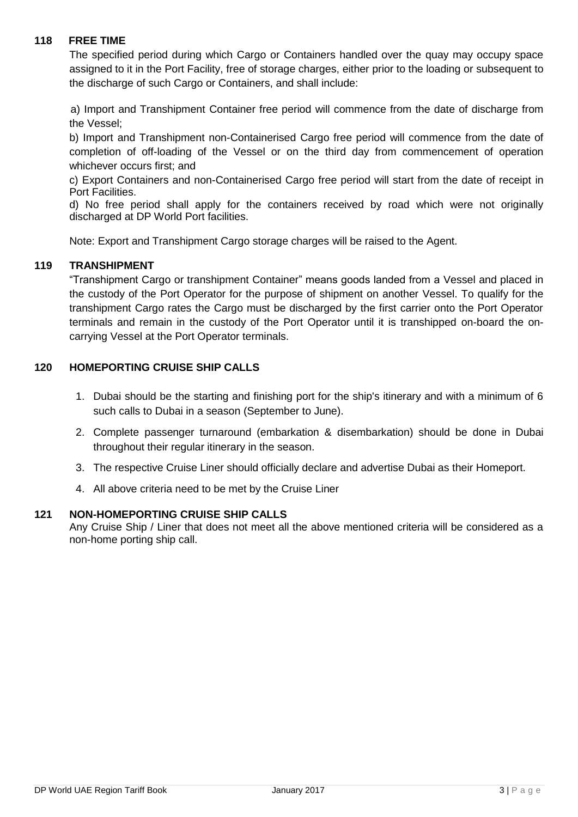## **118 FREE TIME**

The specified period during which Cargo or Containers handled over the quay may occupy space assigned to it in the Port Facility, free of storage charges, either prior to the loading or subsequent to the discharge of such Cargo or Containers, and shall include:

a) Import and Transhipment Container free period will commence from the date of discharge from the Vessel;

b) Import and Transhipment non-Containerised Cargo free period will commence from the date of completion of off-loading of the Vessel or on the third day from commencement of operation whichever occurs first; and

c) Export Containers and non-Containerised Cargo free period will start from the date of receipt in Port Facilities.

d) No free period shall apply for the containers received by road which were not originally discharged at DP World Port facilities.

Note: Export and Transhipment Cargo storage charges will be raised to the Agent.

#### **119 TRANSHIPMENT**

"Transhipment Cargo or transhipment Container" means goods landed from a Vessel and placed in the custody of the Port Operator for the purpose of shipment on another Vessel. To qualify for the transhipment Cargo rates the Cargo must be discharged by the first carrier onto the Port Operator terminals and remain in the custody of the Port Operator until it is transhipped on-board the oncarrying Vessel at the Port Operator terminals.

#### **120 HOMEPORTING CRUISE SHIP CALLS**

- 1. Dubai should be the starting and finishing port for the ship's itinerary and with a minimum of 6 such calls to Dubai in a season (September to June).
- 2. Complete passenger turnaround (embarkation & disembarkation) should be done in Dubai throughout their regular itinerary in the season.
- 3. The respective Cruise Liner should officially declare and advertise Dubai as their Homeport.
- 4. All above criteria need to be met by the Cruise Liner

#### **121 NON-HOMEPORTING CRUISE SHIP CALLS**

Any Cruise Ship / Liner that does not meet all the above mentioned criteria will be considered as a non-home porting ship call.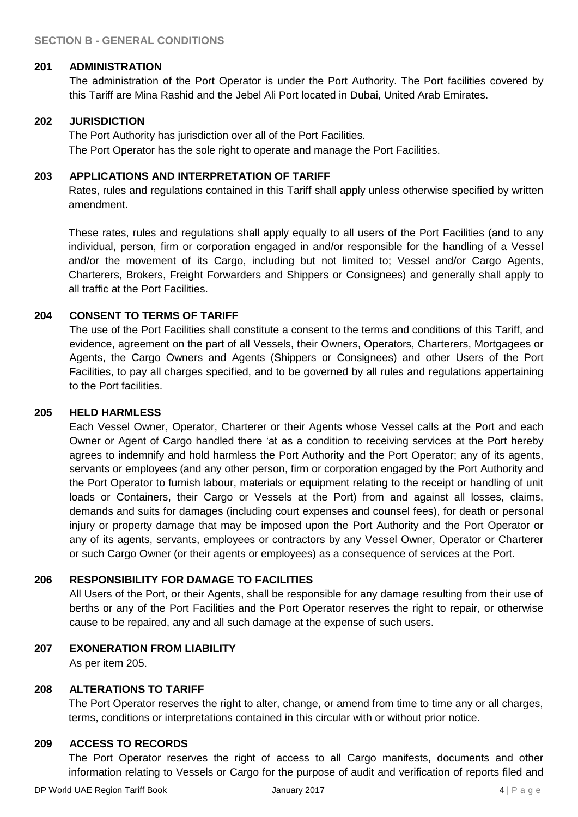#### **201 ADMINISTRATION**

The administration of the Port Operator is under the Port Authority. The Port facilities covered by this Tariff are Mina Rashid and the Jebel Ali Port located in Dubai, United Arab Emirates.

## **202 JURISDICTION**

The Port Authority has jurisdiction over all of the Port Facilities. The Port Operator has the sole right to operate and manage the Port Facilities.

## **203 APPLICATIONS AND INTERPRETATION OF TARIFF**

Rates, rules and regulations contained in this Tariff shall apply unless otherwise specified by written amendment.

These rates, rules and regulations shall apply equally to all users of the Port Facilities (and to any individual, person, firm or corporation engaged in and/or responsible for the handling of a Vessel and/or the movement of its Cargo, including but not limited to; Vessel and/or Cargo Agents, Charterers, Brokers, Freight Forwarders and Shippers or Consignees) and generally shall apply to all traffic at the Port Facilities.

# **204 CONSENT TO TERMS OF TARIFF**

The use of the Port Facilities shall constitute a consent to the terms and conditions of this Tariff, and evidence, agreement on the part of all Vessels, their Owners, Operators, Charterers, Mortgagees or Agents, the Cargo Owners and Agents (Shippers or Consignees) and other Users of the Port Facilities, to pay all charges specified, and to be governed by all rules and regulations appertaining to the Port facilities.

## **205 HELD HARMLESS**

Each Vessel Owner, Operator, Charterer or their Agents whose Vessel calls at the Port and each Owner or Agent of Cargo handled there 'at as a condition to receiving services at the Port hereby agrees to indemnify and hold harmless the Port Authority and the Port Operator; any of its agents, servants or employees (and any other person, firm or corporation engaged by the Port Authority and the Port Operator to furnish labour, materials or equipment relating to the receipt or handling of unit loads or Containers, their Cargo or Vessels at the Port) from and against all losses, claims, demands and suits for damages (including court expenses and counsel fees), for death or personal injury or property damage that may be imposed upon the Port Authority and the Port Operator or any of its agents, servants, employees or contractors by any Vessel Owner, Operator or Charterer or such Cargo Owner (or their agents or employees) as a consequence of services at the Port.

#### **206 RESPONSIBILITY FOR DAMAGE TO FACILITIES**

All Users of the Port, or their Agents, shall be responsible for any damage resulting from their use of berths or any of the Port Facilities and the Port Operator reserves the right to repair, or otherwise cause to be repaired, any and all such damage at the expense of such users.

#### **207 EXONERATION FROM LIABILITY**

As per item 205.

#### **208 ALTERATIONS TO TARIFF**

The Port Operator reserves the right to alter, change, or amend from time to time any or all charges, terms, conditions or interpretations contained in this circular with or without prior notice.

#### **209 ACCESS TO RECORDS**

The Port Operator reserves the right of access to all Cargo manifests, documents and other information relating to Vessels or Cargo for the purpose of audit and verification of reports filed and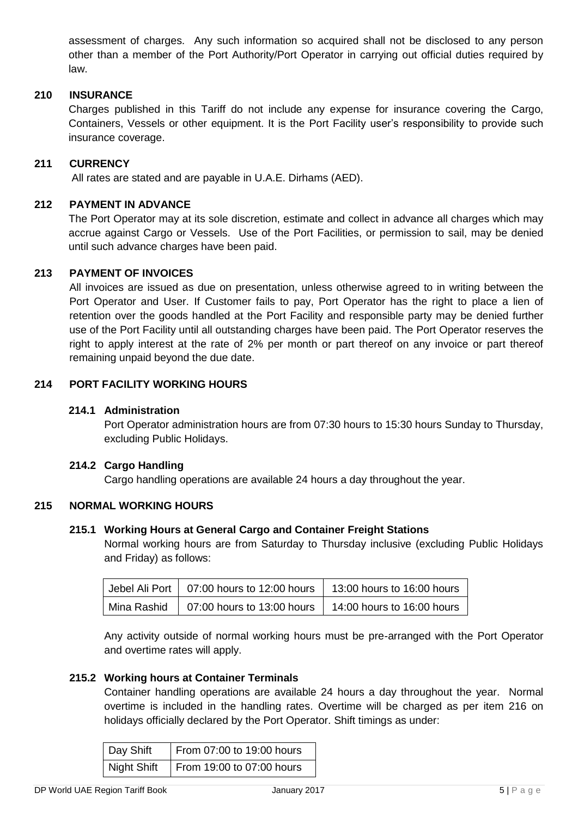assessment of charges. Any such information so acquired shall not be disclosed to any person other than a member of the Port Authority/Port Operator in carrying out official duties required by law.

#### **210 INSURANCE**

Charges published in this Tariff do not include any expense for insurance covering the Cargo, Containers, Vessels or other equipment. It is the Port Facility user's responsibility to provide such insurance coverage.

#### **211 CURRENCY**

All rates are stated and are payable in U.A.E. Dirhams (AED).

#### **212 PAYMENT IN ADVANCE**

The Port Operator may at its sole discretion, estimate and collect in advance all charges which may accrue against Cargo or Vessels. Use of the Port Facilities, or permission to sail, may be denied until such advance charges have been paid.

#### **213 PAYMENT OF INVOICES**

All invoices are issued as due on presentation, unless otherwise agreed to in writing between the Port Operator and User. If Customer fails to pay, Port Operator has the right to place a lien of retention over the goods handled at the Port Facility and responsible party may be denied further use of the Port Facility until all outstanding charges have been paid. The Port Operator reserves the right to apply interest at the rate of 2% per month or part thereof on any invoice or part thereof remaining unpaid beyond the due date.

#### **214 PORT FACILITY WORKING HOURS**

#### **214.1 Administration**

Port Operator administration hours are from 07:30 hours to 15:30 hours Sunday to Thursday, excluding Public Holidays.

#### **214.2 Cargo Handling**

Cargo handling operations are available 24 hours a day throughout the year.

#### **215 NORMAL WORKING HOURS**

#### **215.1 Working Hours at General Cargo and Container Freight Stations**

Normal working hours are from Saturday to Thursday inclusive (excluding Public Holidays and Friday) as follows:

| Jebel Ali Port   07:00 hours to 12:00 hours            | 13:00 hours to 16:00 hours |
|--------------------------------------------------------|----------------------------|
| Mina Rashid $\vert$ 07:00 hours to 13:00 hours $\vert$ | 14:00 hours to 16:00 hours |

Any activity outside of normal working hours must be pre-arranged with the Port Operator and overtime rates will apply.

#### **215.2 Working hours at Container Terminals**

Container handling operations are available 24 hours a day throughout the year. Normal overtime is included in the handling rates. Overtime will be charged as per item 216 on holidays officially declared by the Port Operator. Shift timings as under:

| Day Shift   | From 07:00 to 19:00 hours |
|-------------|---------------------------|
| Night Shift | From 19:00 to 07:00 hours |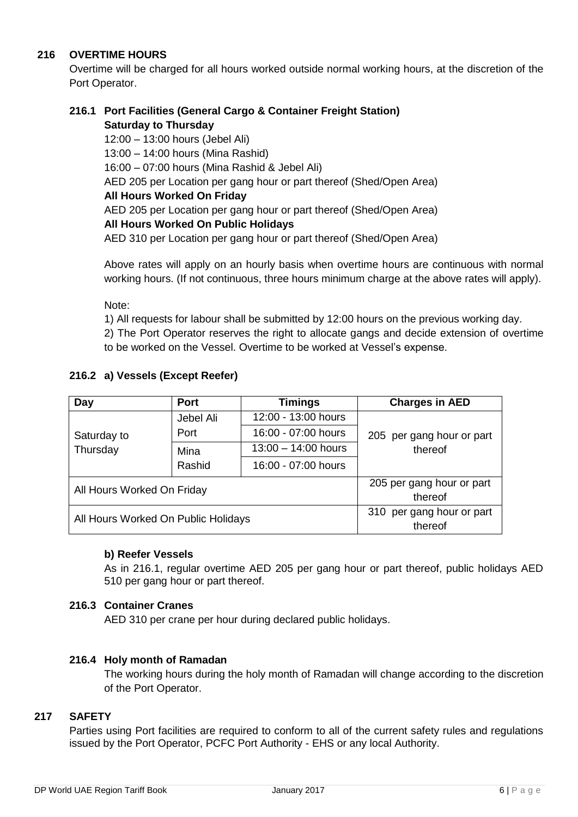# **216 OVERTIME HOURS**

Overtime will be charged for all hours worked outside normal working hours, at the discretion of the Port Operator.

## **216.1 Port Facilities (General Cargo & Container Freight Station) Saturday to Thursday**

 12:00 – 13:00 hours (Jebel Ali) 13:00 – 14:00 hours (Mina Rashid) 16:00 – 07:00 hours (Mina Rashid & Jebel Ali) AED 205 per Location per gang hour or part thereof (Shed/Open Area) **All Hours Worked On Friday**  AED 205 per Location per gang hour or part thereof (Shed/Open Area) **All Hours Worked On Public Holidays** AED 310 per Location per gang hour or part thereof (Shed/Open Area)

Above rates will apply on an hourly basis when overtime hours are continuous with normal working hours. (If not continuous, three hours minimum charge at the above rates will apply).

Note:

1) All requests for labour shall be submitted by 12:00 hours on the previous working day. 2) The Port Operator reserves the right to allocate gangs and decide extension of overtime to be worked on the Vessel. Overtime to be worked at Vessel's expense.

# **216.2 a) Vessels (Except Reefer)**

| Day                                 | <b>Port</b> | <b>Timings</b>        | <b>Charges in AED</b>                |
|-------------------------------------|-------------|-----------------------|--------------------------------------|
|                                     | Jebel Ali   | 12:00 - 13:00 hours   |                                      |
| Saturday to                         | Port        | 16:00 - 07:00 hours   | 205 per gang hour or part            |
| Thursday                            | Mina        | $13:00 - 14:00$ hours | thereof                              |
|                                     | Rashid      | 16:00 - 07:00 hours   |                                      |
| All Hours Worked On Friday          |             |                       | 205 per gang hour or part<br>thereof |
| All Hours Worked On Public Holidays |             |                       | 310 per gang hour or part<br>thereof |

#### **b) Reefer Vessels**

As in 216.1, regular overtime AED 205 per gang hour or part thereof, public holidays AED 510 per gang hour or part thereof.

#### **216.3 Container Cranes**

AED 310 per crane per hour during declared public holidays.

#### **216.4 Holy month of Ramadan**

The working hours during the holy month of Ramadan will change according to the discretion of the Port Operator.

#### **217 SAFETY**

Parties using Port facilities are required to conform to all of the current safety rules and regulations issued by the Port Operator, PCFC Port Authority - EHS or any local Authority.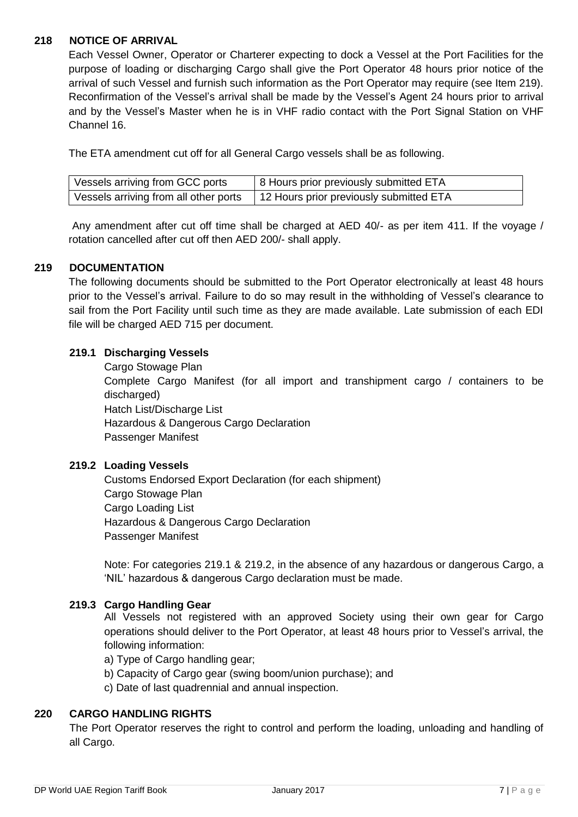## **218 NOTICE OF ARRIVAL**

Each Vessel Owner, Operator or Charterer expecting to dock a Vessel at the Port Facilities for the purpose of loading or discharging Cargo shall give the Port Operator 48 hours prior notice of the arrival of such Vessel and furnish such information as the Port Operator may require (see Item 219). Reconfirmation of the Vessel's arrival shall be made by the Vessel's Agent 24 hours prior to arrival and by the Vessel's Master when he is in VHF radio contact with the Port Signal Station on VHF Channel 16.

The ETA amendment cut off for all General Cargo vessels shall be as following.

| Vessels arriving from GCC ports       | 18 Hours prior previously submitted ETA |
|---------------------------------------|-----------------------------------------|
| Vessels arriving from all other ports | 12 Hours prior previously submitted ETA |

Any amendment after cut off time shall be charged at AED 40/- as per item 411. If the voyage / rotation cancelled after cut off then AED 200/- shall apply.

#### **219 DOCUMENTATION**

The following documents should be submitted to the Port Operator electronically at least 48 hours prior to the Vessel's arrival. Failure to do so may result in the withholding of Vessel's clearance to sail from the Port Facility until such time as they are made available. Late submission of each EDI file will be charged AED 715 per document.

## **219.1 Discharging Vessels**

Cargo Stowage Plan Complete Cargo Manifest (for all import and transhipment cargo / containers to be discharged) Hatch List/Discharge List Hazardous & Dangerous Cargo Declaration Passenger Manifest

#### **219.2 Loading Vessels**

 Customs Endorsed Export Declaration (for each shipment) Cargo Stowage Plan Cargo Loading List Hazardous & Dangerous Cargo Declaration Passenger Manifest

Note: For categories 219.1 & 219.2, in the absence of any hazardous or dangerous Cargo, a 'NIL' hazardous & dangerous Cargo declaration must be made.

#### **219.3 Cargo Handling Gear**

All Vessels not registered with an approved Society using their own gear for Cargo operations should deliver to the Port Operator, at least 48 hours prior to Vessel's arrival, the following information:

a) Type of Cargo handling gear;

b) Capacity of Cargo gear (swing boom/union purchase); and

c) Date of last quadrennial and annual inspection.

#### **220 CARGO HANDLING RIGHTS**

The Port Operator reserves the right to control and perform the loading, unloading and handling of all Cargo.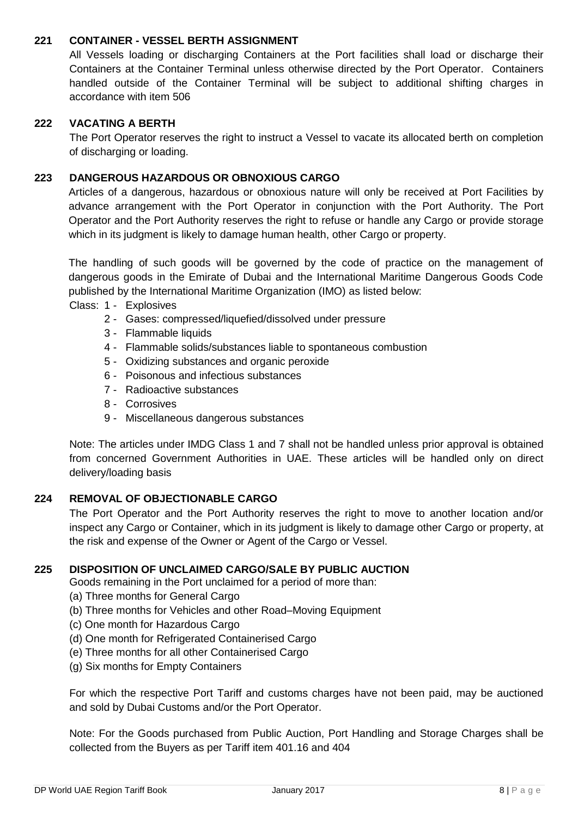## **221 CONTAINER - VESSEL BERTH ASSIGNMENT**

All Vessels loading or discharging Containers at the Port facilities shall load or discharge their Containers at the Container Terminal unless otherwise directed by the Port Operator. Containers handled outside of the Container Terminal will be subject to additional shifting charges in accordance with item 506

#### **222 VACATING A BERTH**

The Port Operator reserves the right to instruct a Vessel to vacate its allocated berth on completion of discharging or loading.

#### **223 DANGEROUS HAZARDOUS OR OBNOXIOUS CARGO**

Articles of a dangerous, hazardous or obnoxious nature will only be received at Port Facilities by advance arrangement with the Port Operator in conjunction with the Port Authority. The Port Operator and the Port Authority reserves the right to refuse or handle any Cargo or provide storage which in its judgment is likely to damage human health, other Cargo or property.

The handling of such goods will be governed by the code of practice on the management of dangerous goods in the Emirate of Dubai and the International Maritime Dangerous Goods Code published by the International Maritime Organization (IMO) as listed below:

Class: 1 - Explosives

- 2 Gases: compressed/liquefied/dissolved under pressure
- 3 Flammable liquids
- 4 Flammable solids/substances liable to spontaneous combustion
- 5 Oxidizing substances and organic peroxide
- 6 Poisonous and infectious substances
- 7 Radioactive substances
- 8 Corrosives
- 9 Miscellaneous dangerous substances

Note: The articles under IMDG Class 1 and 7 shall not be handled unless prior approval is obtained from concerned Government Authorities in UAE. These articles will be handled only on direct delivery/loading basis

#### **224 REMOVAL OF OBJECTIONABLE CARGO**

The Port Operator and the Port Authority reserves the right to move to another location and/or inspect any Cargo or Container, which in its judgment is likely to damage other Cargo or property, at the risk and expense of the Owner or Agent of the Cargo or Vessel.

#### **225 DISPOSITION OF UNCLAIMED CARGO/SALE BY PUBLIC AUCTION**

Goods remaining in the Port unclaimed for a period of more than:

- (a) Three months for General Cargo
- (b) Three months for Vehicles and other Road–Moving Equipment
- (c) One month for Hazardous Cargo
- (d) One month for Refrigerated Containerised Cargo
- (e) Three months for all other Containerised Cargo
- (g) Six months for Empty Containers

For which the respective Port Tariff and customs charges have not been paid, may be auctioned and sold by Dubai Customs and/or the Port Operator.

Note: For the Goods purchased from Public Auction, Port Handling and Storage Charges shall be collected from the Buyers as per Tariff item 401.16 and 404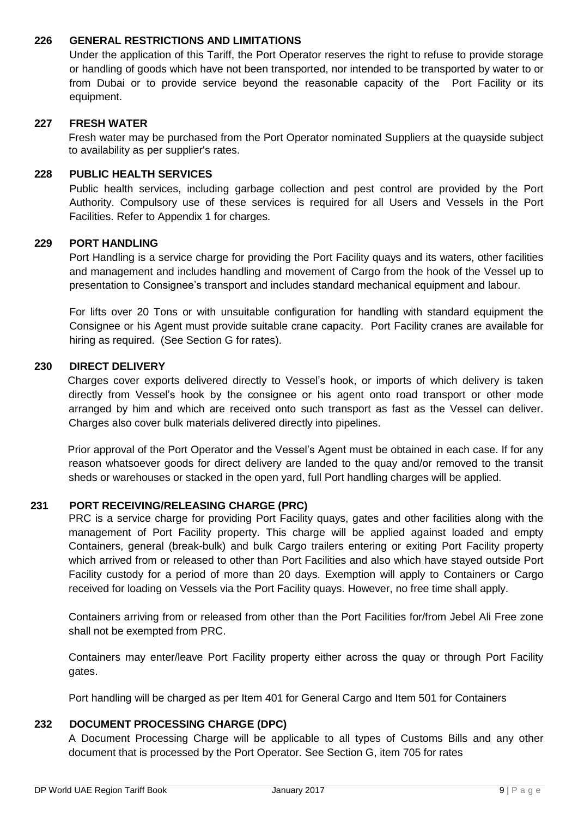## **226 GENERAL RESTRICTIONS AND LIMITATIONS**

Under the application of this Tariff, the Port Operator reserves the right to refuse to provide storage or handling of goods which have not been transported, nor intended to be transported by water to or from Dubai or to provide service beyond the reasonable capacity of the Port Facility or its equipment.

## **227 FRESH WATER**

Fresh water may be purchased from the Port Operator nominated Suppliers at the quayside subject to availability as per supplier's rates.

#### **228 PUBLIC HEALTH SERVICES**

Public health services, including garbage collection and pest control are provided by the Port Authority. Compulsory use of these services is required for all Users and Vessels in the Port Facilities. Refer to Appendix 1 for charges.

#### **229 PORT HANDLING**

Port Handling is a service charge for providing the Port Facility quays and its waters, other facilities and management and includes handling and movement of Cargo from the hook of the Vessel up to presentation to Consignee's transport and includes standard mechanical equipment and labour.

For lifts over 20 Tons or with unsuitable configuration for handling with standard equipment the Consignee or his Agent must provide suitable crane capacity. Port Facility cranes are available for hiring as required. (See Section G for rates).

#### **230 DIRECT DELIVERY**

Charges cover exports delivered directly to Vessel's hook, or imports of which delivery is taken directly from Vessel's hook by the consignee or his agent onto road transport or other mode arranged by him and which are received onto such transport as fast as the Vessel can deliver. Charges also cover bulk materials delivered directly into pipelines.

Prior approval of the Port Operator and the Vessel's Agent must be obtained in each case. If for any reason whatsoever goods for direct delivery are landed to the quay and/or removed to the transit sheds or warehouses or stacked in the open yard, full Port handling charges will be applied.

#### **231 PORT RECEIVING/RELEASING CHARGE (PRC)**

PRC is a service charge for providing Port Facility quays, gates and other facilities along with the management of Port Facility property. This charge will be applied against loaded and empty Containers, general (break-bulk) and bulk Cargo trailers entering or exiting Port Facility property which arrived from or released to other than Port Facilities and also which have stayed outside Port Facility custody for a period of more than 20 days. Exemption will apply to Containers or Cargo received for loading on Vessels via the Port Facility quays. However, no free time shall apply.

Containers arriving from or released from other than the Port Facilities for/from Jebel Ali Free zone shall not be exempted from PRC.

Containers may enter/leave Port Facility property either across the quay or through Port Facility gates.

Port handling will be charged as per Item 401 for General Cargo and Item 501 for Containers

#### **232 DOCUMENT PROCESSING CHARGE (DPC)**

A Document Processing Charge will be applicable to all types of Customs Bills and any other document that is processed by the Port Operator. See Section G, item 705 for rates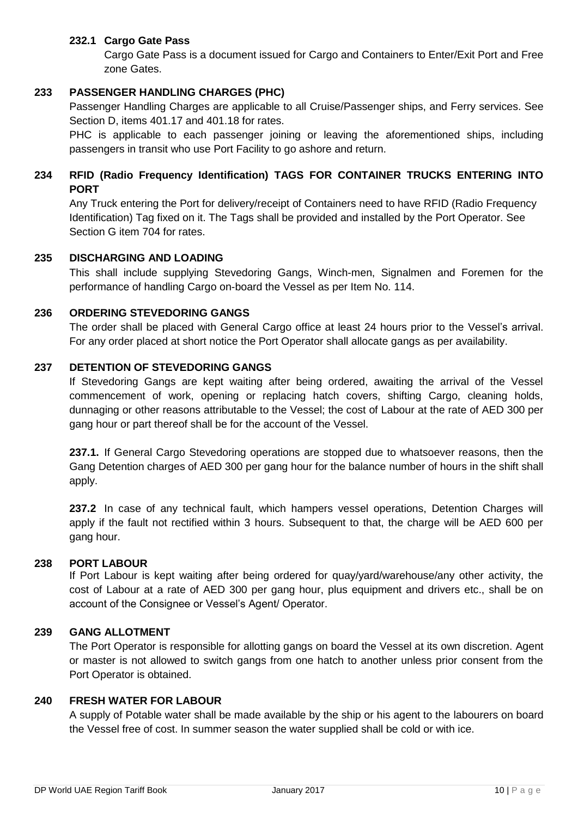## **232.1 Cargo Gate Pass**

Cargo Gate Pass is a document issued for Cargo and Containers to Enter/Exit Port and Free zone Gates.

## **233 PASSENGER HANDLING CHARGES (PHC)**

Passenger Handling Charges are applicable to all Cruise/Passenger ships, and Ferry services. See Section D, items 401.17 and 401.18 for rates.

PHC is applicable to each passenger joining or leaving the aforementioned ships, including passengers in transit who use Port Facility to go ashore and return.

# **234 RFID (Radio Frequency Identification) TAGS FOR CONTAINER TRUCKS ENTERING INTO PORT**

Any Truck entering the Port for delivery/receipt of Containers need to have RFID (Radio Frequency Identification) Tag fixed on it. The Tags shall be provided and installed by the Port Operator. See Section G item 704 for rates.

#### **235 DISCHARGING AND LOADING**

This shall include supplying Stevedoring Gangs, Winch-men, Signalmen and Foremen for the performance of handling Cargo on-board the Vessel as per Item No. 114.

## **236 ORDERING STEVEDORING GANGS**

The order shall be placed with General Cargo office at least 24 hours prior to the Vessel's arrival. For any order placed at short notice the Port Operator shall allocate gangs as per availability.

## **237 DETENTION OF STEVEDORING GANGS**

If Stevedoring Gangs are kept waiting after being ordered, awaiting the arrival of the Vessel commencement of work, opening or replacing hatch covers, shifting Cargo, cleaning holds, dunnaging or other reasons attributable to the Vessel; the cost of Labour at the rate of AED 300 per gang hour or part thereof shall be for the account of the Vessel.

**237.1.** If General Cargo Stevedoring operations are stopped due to whatsoever reasons, then the Gang Detention charges of AED 300 per gang hour for the balance number of hours in the shift shall apply.

**237.2** In case of any technical fault, which hampers vessel operations, Detention Charges will apply if the fault not rectified within 3 hours. Subsequent to that, the charge will be AED 600 per gang hour.

#### **238 PORT LABOUR**

If Port Labour is kept waiting after being ordered for quay/yard/warehouse/any other activity, the cost of Labour at a rate of AED 300 per gang hour, plus equipment and drivers etc., shall be on account of the Consignee or Vessel's Agent/ Operator.

#### **239 GANG ALLOTMENT**

The Port Operator is responsible for allotting gangs on board the Vessel at its own discretion. Agent or master is not allowed to switch gangs from one hatch to another unless prior consent from the Port Operator is obtained.

#### **240 FRESH WATER FOR LABOUR**

A supply of Potable water shall be made available by the ship or his agent to the labourers on board the Vessel free of cost. In summer season the water supplied shall be cold or with ice.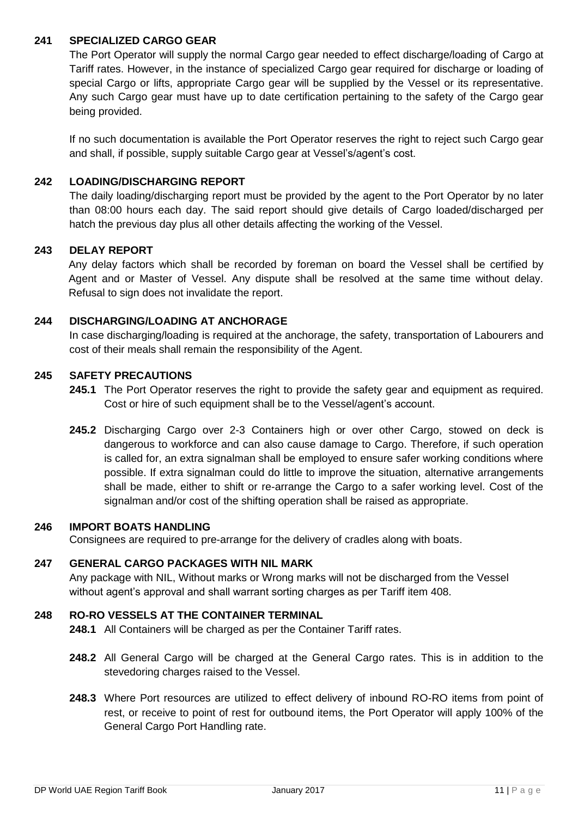## **241 SPECIALIZED CARGO GEAR**

The Port Operator will supply the normal Cargo gear needed to effect discharge/loading of Cargo at Tariff rates. However, in the instance of specialized Cargo gear required for discharge or loading of special Cargo or lifts, appropriate Cargo gear will be supplied by the Vessel or its representative. Any such Cargo gear must have up to date certification pertaining to the safety of the Cargo gear being provided.

If no such documentation is available the Port Operator reserves the right to reject such Cargo gear and shall, if possible, supply suitable Cargo gear at Vessel's/agent's cost.

## **242 LOADING/DISCHARGING REPORT**

The daily loading/discharging report must be provided by the agent to the Port Operator by no later than 08:00 hours each day. The said report should give details of Cargo loaded/discharged per hatch the previous day plus all other details affecting the working of the Vessel.

# **243 DELAY REPORT**

Any delay factors which shall be recorded by foreman on board the Vessel shall be certified by Agent and or Master of Vessel. Any dispute shall be resolved at the same time without delay. Refusal to sign does not invalidate the report.

## **244 DISCHARGING/LOADING AT ANCHORAGE**

In case discharging/loading is required at the anchorage, the safety, transportation of Labourers and cost of their meals shall remain the responsibility of the Agent.

#### **245 SAFETY PRECAUTIONS**

- **245.1** The Port Operator reserves the right to provide the safety gear and equipment as required. Cost or hire of such equipment shall be to the Vessel/agent's account.
- **245.2** Discharging Cargo over 2-3 Containers high or over other Cargo, stowed on deck is dangerous to workforce and can also cause damage to Cargo. Therefore, if such operation is called for, an extra signalman shall be employed to ensure safer working conditions where possible. If extra signalman could do little to improve the situation, alternative arrangements shall be made, either to shift or re-arrange the Cargo to a safer working level. Cost of the signalman and/or cost of the shifting operation shall be raised as appropriate.

#### **246 IMPORT BOATS HANDLING**

Consignees are required to pre-arrange for the delivery of cradles along with boats.

#### **247 GENERAL CARGO PACKAGES WITH NIL MARK**

Any package with NIL, Without marks or Wrong marks will not be discharged from the Vessel without agent's approval and shall warrant sorting charges as per Tariff item 408.

## **248 RO-RO VESSELS AT THE CONTAINER TERMINAL**

**248.1** All Containers will be charged as per the Container Tariff rates.

- **248.2** All General Cargo will be charged at the General Cargo rates. This is in addition to the stevedoring charges raised to the Vessel.
- **248.3** Where Port resources are utilized to effect delivery of inbound RO-RO items from point of rest, or receive to point of rest for outbound items, the Port Operator will apply 100% of the General Cargo Port Handling rate.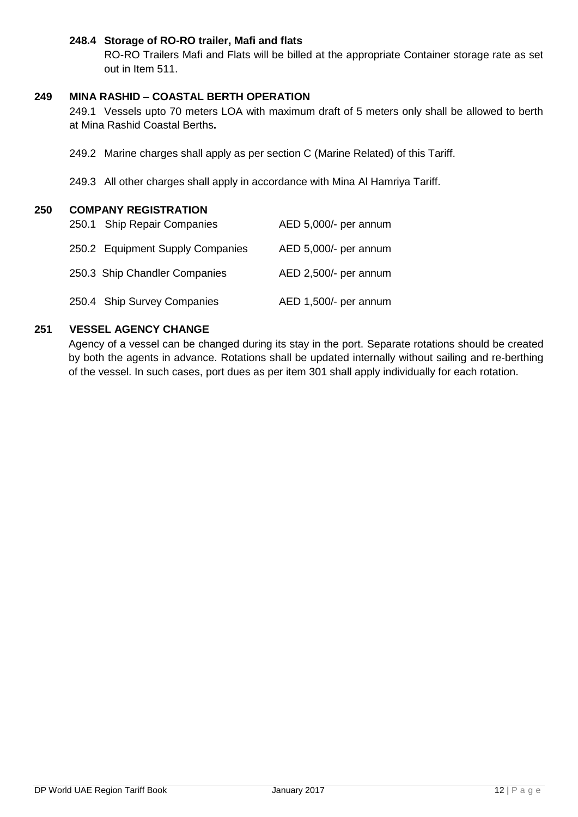## **248.4 Storage of RO-RO trailer, Mafi and flats**

RO-RO Trailers Mafi and Flats will be billed at the appropriate Container storage rate as set out in Item 511.

## **249 MINA RASHID – COASTAL BERTH OPERATION**

249.1 Vessels upto 70 meters LOA with maximum draft of 5 meters only shall be allowed to berth at Mina Rashid Coastal Berths**.**

- 249.2 Marine charges shall apply as per section C (Marine Related) of this Tariff.
- 249.3 All other charges shall apply in accordance with Mina Al Hamriya Tariff.

## **250 COMPANY REGISTRATION**

| 250.1 Ship Repair Companies      | AED 5,000/- per annum |
|----------------------------------|-----------------------|
| 250.2 Equipment Supply Companies | AED 5,000/- per annum |
| 250.3 Ship Chandler Companies    | AED 2,500/- per annum |
| 250.4 Ship Survey Companies      | AED 1,500/- per annum |

## **251 VESSEL AGENCY CHANGE**

Agency of a vessel can be changed during its stay in the port. Separate rotations should be created by both the agents in advance. Rotations shall be updated internally without sailing and re-berthing of the vessel. In such cases, port dues as per item 301 shall apply individually for each rotation.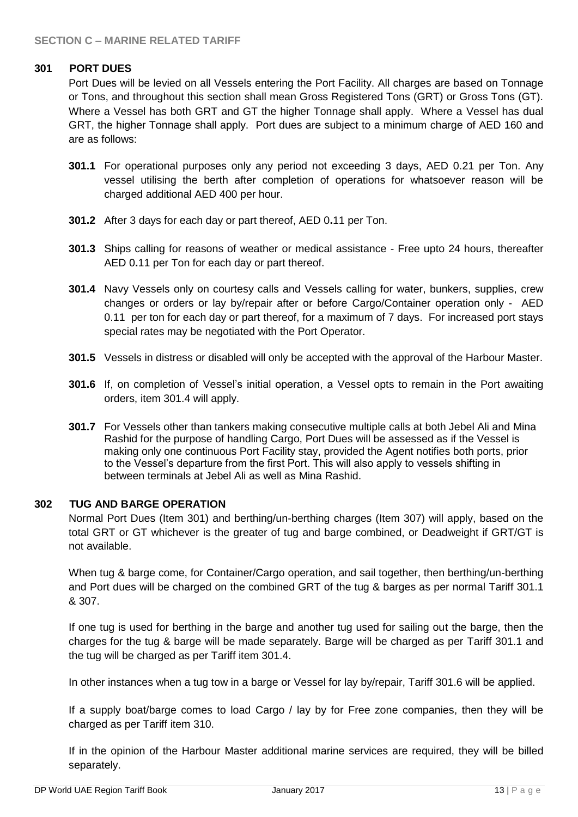## **301 PORT DUES**

Port Dues will be levied on all Vessels entering the Port Facility. All charges are based on Tonnage or Tons, and throughout this section shall mean Gross Registered Tons (GRT) or Gross Tons (GT). Where a Vessel has both GRT and GT the higher Tonnage shall apply. Where a Vessel has dual GRT, the higher Tonnage shall apply. Port dues are subject to a minimum charge of AED 160 and are as follows:

- **301.1** For operational purposes only any period not exceeding 3 days, AED 0.21 per Ton. Any vessel utilising the berth after completion of operations for whatsoever reason will be charged additional AED 400 per hour.
- **301.2** After 3 days for each day or part thereof, AED 0**.**11 per Ton.
- **301.3** Ships calling for reasons of weather or medical assistance Free upto 24 hours, thereafter AED 0**.**11 per Ton for each day or part thereof.
- **301.4** Navy Vessels only on courtesy calls and Vessels calling for water, bunkers, supplies, crew changes or orders or lay by/repair after or before Cargo/Container operation only - AED 0.11 per ton for each day or part thereof, for a maximum of 7 days. For increased port stays special rates may be negotiated with the Port Operator.
- **301.5** Vessels in distress or disabled will only be accepted with the approval of the Harbour Master.
- **301.6** If, on completion of Vessel's initial operation, a Vessel opts to remain in the Port awaiting orders, item 301.4 will apply.
- **301.7** For Vessels other than tankers making consecutive multiple calls at both Jebel Ali and Mina Rashid for the purpose of handling Cargo, Port Dues will be assessed as if the Vessel is making only one continuous Port Facility stay, provided the Agent notifies both ports, prior to the Vessel's departure from the first Port. This will also apply to vessels shifting in between terminals at Jebel Ali as well as Mina Rashid.

#### **302 TUG AND BARGE OPERATION**

Normal Port Dues (Item 301) and berthing/un-berthing charges (Item 307) will apply, based on the total GRT or GT whichever is the greater of tug and barge combined, or Deadweight if GRT/GT is not available.

When tug & barge come, for Container/Cargo operation, and sail together, then berthing/un-berthing and Port dues will be charged on the combined GRT of the tug & barges as per normal Tariff 301.1 & 307.

If one tug is used for berthing in the barge and another tug used for sailing out the barge, then the charges for the tug & barge will be made separately. Barge will be charged as per Tariff 301.1 and the tug will be charged as per Tariff item 301.4.

In other instances when a tug tow in a barge or Vessel for lay by/repair, Tariff 301.6 will be applied.

If a supply boat/barge comes to load Cargo / lay by for Free zone companies, then they will be charged as per Tariff item 310.

If in the opinion of the Harbour Master additional marine services are required, they will be billed separately.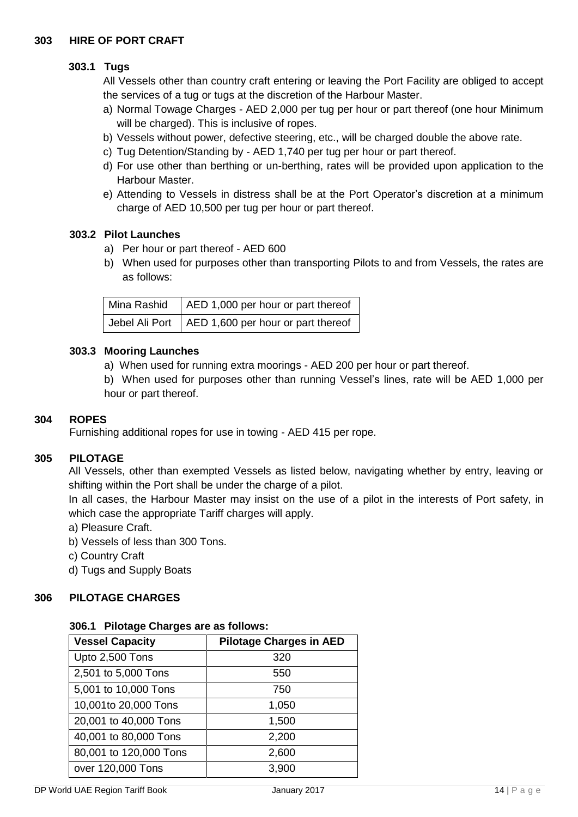# **303.1 Tugs**

All Vessels other than country craft entering or leaving the Port Facility are obliged to accept the services of a tug or tugs at the discretion of the Harbour Master.

- a) Normal Towage Charges AED 2,000 per tug per hour or part thereof (one hour Minimum will be charged). This is inclusive of ropes.
- b) Vessels without power, defective steering, etc., will be charged double the above rate.
- c) Tug Detention/Standing by AED 1,740 per tug per hour or part thereof.
- d) For use other than berthing or un-berthing, rates will be provided upon application to the Harbour Master.
- e) Attending to Vessels in distress shall be at the Port Operator's discretion at a minimum charge of AED 10,500 per tug per hour or part thereof.

#### **303.2 Pilot Launches**

- a) Per hour or part thereof AED 600
- b) When used for purposes other than transporting Pilots to and from Vessels, the rates are as follows:

| Mina Rashid $ $ AED 1,000 per hour or part thereof    |
|-------------------------------------------------------|
| Jebel Ali Port $ $ AED 1,600 per hour or part thereof |

#### **303.3 Mooring Launches**

a) When used for running extra moorings - AED 200 per hour or part thereof.

b) When used for purposes other than running Vessel's lines, rate will be AED 1,000 per hour or part thereof.

#### **304 ROPES**

Furnishing additional ropes for use in towing - AED 415 per rope.

#### **305 PILOTAGE**

All Vessels, other than exempted Vessels as listed below, navigating whether by entry, leaving or shifting within the Port shall be under the charge of a pilot.

In all cases, the Harbour Master may insist on the use of a pilot in the interests of Port safety, in which case the appropriate Tariff charges will apply.

- a) Pleasure Craft.
- b) Vessels of less than 300 Tons.
- c) Country Craft

d) Tugs and Supply Boats

## **306 PILOTAGE CHARGES**

#### **306.1 Pilotage Charges are as follows:**

| <b>Vessel Capacity</b> | <b>Pilotage Charges in AED</b> |  |
|------------------------|--------------------------------|--|
| Upto 2,500 Tons        | 320                            |  |
| 2,501 to 5,000 Tons    | 550                            |  |
| 5,001 to 10,000 Tons   | 750                            |  |
| 10,001to 20,000 Tons   | 1,050                          |  |
| 20,001 to 40,000 Tons  | 1,500                          |  |
| 40,001 to 80,000 Tons  | 2,200                          |  |
| 80,001 to 120,000 Tons | 2,600                          |  |
| over 120,000 Tons      | 3,900                          |  |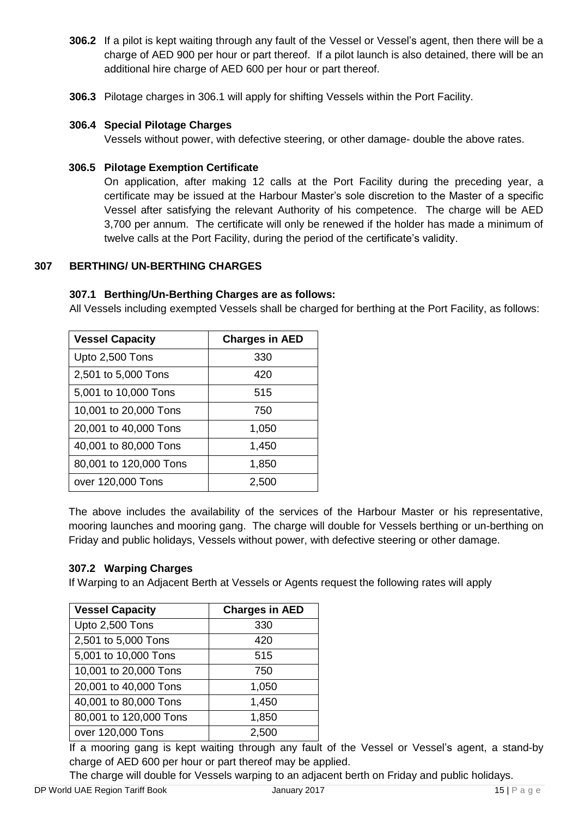- **306.2** If a pilot is kept waiting through any fault of the Vessel or Vessel's agent, then there will be a charge of AED 900 per hour or part thereof. If a pilot launch is also detained, there will be an additional hire charge of AED 600 per hour or part thereof.
- **306.3** Pilotage charges in 306.1 will apply for shifting Vessels within the Port Facility.

## **306.4 Special Pilotage Charges**

Vessels without power, with defective steering, or other damage- double the above rates.

#### **306.5 Pilotage Exemption Certificate**

On application, after making 12 calls at the Port Facility during the preceding year, a certificate may be issued at the Harbour Master's sole discretion to the Master of a specific Vessel after satisfying the relevant Authority of his competence. The charge will be AED 3,700 per annum. The certificate will only be renewed if the holder has made a minimum of twelve calls at the Port Facility, during the period of the certificate's validity.

## **307 BERTHING/ UN-BERTHING CHARGES**

#### **307.1 Berthing/Un-Berthing Charges are as follows:**

All Vessels including exempted Vessels shall be charged for berthing at the Port Facility, as follows:

| <b>Vessel Capacity</b> | <b>Charges in AED</b> |
|------------------------|-----------------------|
| Upto 2,500 Tons        | 330                   |
| 2,501 to 5,000 Tons    | 420                   |
| 5,001 to 10,000 Tons   | 515                   |
| 10,001 to 20,000 Tons  | 750                   |
| 20,001 to 40,000 Tons  | 1,050                 |
| 40,001 to 80,000 Tons  | 1,450                 |
| 80,001 to 120,000 Tons | 1,850                 |
| over 120,000 Tons      | 2.500                 |

The above includes the availability of the services of the Harbour Master or his representative, mooring launches and mooring gang. The charge will double for Vessels berthing or un-berthing on Friday and public holidays, Vessels without power, with defective steering or other damage.

#### **307.2 Warping Charges**

If Warping to an Adjacent Berth at Vessels or Agents request the following rates will apply

| <b>Vessel Capacity</b> | <b>Charges in AED</b> |
|------------------------|-----------------------|
| Upto 2,500 Tons        | 330                   |
| 2,501 to 5,000 Tons    | 420                   |
| 5,001 to 10,000 Tons   | 515                   |
| 10,001 to 20,000 Tons  | 750                   |
| 20,001 to 40,000 Tons  | 1,050                 |
| 40,001 to 80,000 Tons  | 1,450                 |
| 80,001 to 120,000 Tons | 1,850                 |
| over 120,000 Tons      | 2,500                 |

If a mooring gang is kept waiting through any fault of the Vessel or Vessel's agent, a stand-by charge of AED 600 per hour or part thereof may be applied.

The charge will double for Vessels warping to an adjacent berth on Friday and public holidays.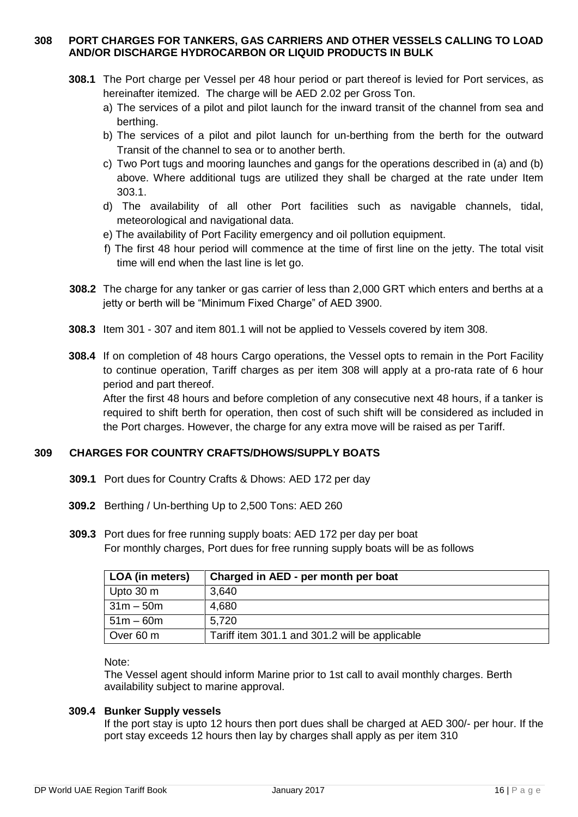#### **308 PORT CHARGES FOR TANKERS, GAS CARRIERS AND OTHER VESSELS CALLING TO LOAD AND/OR DISCHARGE HYDROCARBON OR LIQUID PRODUCTS IN BULK**

- **308.1** The Port charge per Vessel per 48 hour period or part thereof is levied for Port services, as hereinafter itemized. The charge will be AED 2.02 per Gross Ton.
	- a) The services of a pilot and pilot launch for the inward transit of the channel from sea and berthing.
	- b) The services of a pilot and pilot launch for un-berthing from the berth for the outward Transit of the channel to sea or to another berth.
	- c) Two Port tugs and mooring launches and gangs for the operations described in (a) and (b) above. Where additional tugs are utilized they shall be charged at the rate under Item 303.1.
	- d) The availability of all other Port facilities such as navigable channels, tidal, meteorological and navigational data.
	- e) The availability of Port Facility emergency and oil pollution equipment.
	- f) The first 48 hour period will commence at the time of first line on the jetty. The total visit time will end when the last line is let go.
- **308.2** The charge for any tanker or gas carrier of less than 2,000 GRT which enters and berths at a jetty or berth will be "Minimum Fixed Charge" of AED 3900.
- **308.3** Item 301 307 and item 801.1 will not be applied to Vessels covered by item 308.
- **308.4** If on completion of 48 hours Cargo operations, the Vessel opts to remain in the Port Facility to continue operation, Tariff charges as per item 308 will apply at a pro-rata rate of 6 hour period and part thereof.

After the first 48 hours and before completion of any consecutive next 48 hours, if a tanker is required to shift berth for operation, then cost of such shift will be considered as included in the Port charges. However, the charge for any extra move will be raised as per Tariff.

# **309 CHARGES FOR COUNTRY CRAFTS/DHOWS/SUPPLY BOATS**

- **309.1** Port dues for Country Crafts & Dhows: AED 172 per day
- **309.2** Berthing / Un-berthing Up to 2,500 Tons: AED 260
- **309.3** Port dues for free running supply boats: AED 172 per day per boat For monthly charges, Port dues for free running supply boats will be as follows

| LOA (in meters) | Charged in AED - per month per boat            |
|-----------------|------------------------------------------------|
| Upto 30 m       | 3,640                                          |
| $31m - 50m$     | 4,680                                          |
| $51m - 60m$     | 5.720                                          |
| Over 60 m       | Tariff item 301.1 and 301.2 will be applicable |

Note:

The Vessel agent should inform Marine prior to 1st call to avail monthly charges. Berth availability subject to marine approval.

#### **309.4 Bunker Supply vessels**

If the port stay is upto 12 hours then port dues shall be charged at AED 300/- per hour. If the port stay exceeds 12 hours then lay by charges shall apply as per item 310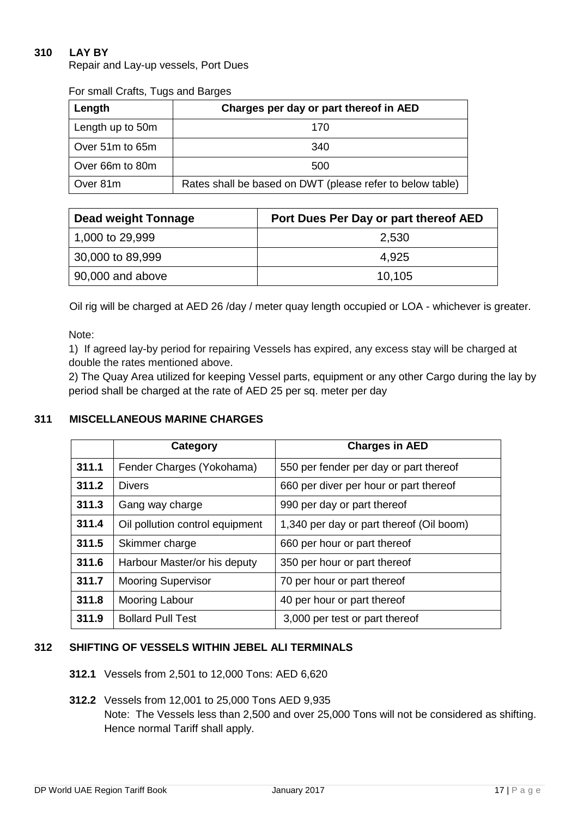# **310 LAY BY**

Repair and Lay-up vessels, Port Dues

| Length           | Charges per day or part thereof in AED                    |  |
|------------------|-----------------------------------------------------------|--|
| Length up to 50m | 170                                                       |  |
| Over 51m to 65m  | 340                                                       |  |
| Over 66m to 80m  | 500                                                       |  |
| Over 81m         | Rates shall be based on DWT (please refer to below table) |  |

For small Crafts, Tugs and Barges

| <b>Dead weight Tonnage</b> | Port Dues Per Day or part thereof AED |
|----------------------------|---------------------------------------|
| 1,000 to 29,999            | 2,530                                 |
| 30,000 to 89,999           | 4.925                                 |
| $\vert$ 90,000 and above   | 10,105                                |

Oil rig will be charged at AED 26 /day / meter quay length occupied or LOA - whichever is greater.

Note:

 1) If agreed lay-by period for repairing Vessels has expired, any excess stay will be charged at double the rates mentioned above.

2) The Quay Area utilized for keeping Vessel parts, equipment or any other Cargo during the lay by period shall be charged at the rate of AED 25 per sq. meter per day

# **311 MISCELLANEOUS MARINE CHARGES**

|       | Category                        | <b>Charges in AED</b>                    |
|-------|---------------------------------|------------------------------------------|
| 311.1 | Fender Charges (Yokohama)       | 550 per fender per day or part thereof   |
| 311.2 | <b>Divers</b>                   | 660 per diver per hour or part thereof   |
| 311.3 | Gang way charge                 | 990 per day or part thereof              |
| 311.4 | Oil pollution control equipment | 1,340 per day or part thereof (Oil boom) |
| 311.5 | Skimmer charge                  | 660 per hour or part thereof             |
| 311.6 | Harbour Master/or his deputy    | 350 per hour or part thereof             |
| 311.7 | <b>Mooring Supervisor</b>       | 70 per hour or part thereof              |
| 311.8 | Mooring Labour                  | 40 per hour or part thereof              |
| 311.9 | <b>Bollard Pull Test</b>        | 3,000 per test or part thereof           |

## **312 SHIFTING OF VESSELS WITHIN JEBEL ALI TERMINALS**

**312.1** Vessels from 2,501 to 12,000 Tons: AED 6,620

# **312.2** Vessels from 12,001 to 25,000 Tons AED 9,935 Note: The Vessels less than 2,500 and over 25,000 Tons will not be considered as shifting. Hence normal Tariff shall apply.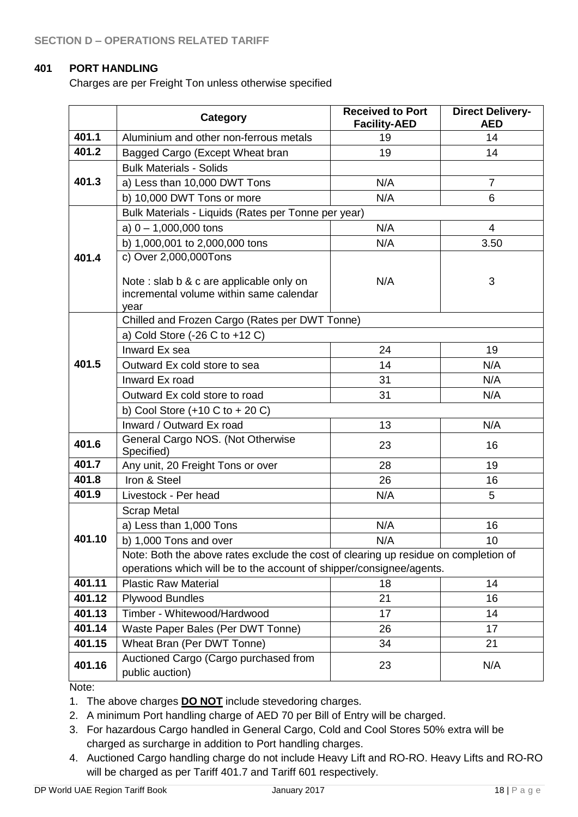## **401 PORT HANDLING**

Charges are per Freight Ton unless otherwise specified

|        | Category                                                                                   | <b>Received to Port</b><br><b>Facility-AED</b> | <b>Direct Delivery-</b><br><b>AED</b> |
|--------|--------------------------------------------------------------------------------------------|------------------------------------------------|---------------------------------------|
| 401.1  | Aluminium and other non-ferrous metals                                                     | 19                                             | 14                                    |
| 401.2  | Bagged Cargo (Except Wheat bran                                                            | 19                                             | 14                                    |
|        | <b>Bulk Materials - Solids</b>                                                             |                                                |                                       |
| 401.3  | a) Less than 10,000 DWT Tons                                                               | N/A                                            | $\overline{7}$                        |
|        | b) 10,000 DWT Tons or more                                                                 | N/A                                            | 6                                     |
|        | Bulk Materials - Liquids (Rates per Tonne per year)                                        |                                                |                                       |
|        | a) $0 - 1,000,000$ tons                                                                    | N/A                                            | $\overline{4}$                        |
|        | b) 1,000,001 to 2,000,000 tons                                                             | N/A                                            | 3.50                                  |
| 401.4  | c) Over 2,000,000Tons                                                                      |                                                |                                       |
|        | Note: slab b & c are applicable only on<br>incremental volume within same calendar<br>year | N/A                                            | 3                                     |
|        | Chilled and Frozen Cargo (Rates per DWT Tonne)                                             |                                                |                                       |
|        | a) Cold Store $(-26 C to +12 C)$                                                           |                                                |                                       |
|        | Inward Ex sea                                                                              | 24                                             | 19                                    |
| 401.5  | Outward Ex cold store to sea                                                               | 14                                             | N/A                                   |
|        | Inward Ex road                                                                             | 31                                             | N/A                                   |
|        | Outward Ex cold store to road                                                              | 31                                             | N/A                                   |
|        | b) Cool Store $(+10 C to + 20 C)$                                                          |                                                |                                       |
|        | Inward / Outward Ex road                                                                   | 13                                             | N/A                                   |
| 401.6  | General Cargo NOS. (Not Otherwise<br>Specified)                                            | 23                                             | 16                                    |
| 401.7  | Any unit, 20 Freight Tons or over                                                          | 28                                             | 19                                    |
| 401.8  | Iron & Steel                                                                               | 26                                             | 16                                    |
| 401.9  | Livestock - Per head                                                                       | N/A                                            | 5                                     |
|        | <b>Scrap Metal</b>                                                                         |                                                |                                       |
|        | a) Less than 1,000 Tons                                                                    | N/A                                            | 16                                    |
| 401.10 | b) 1,000 Tons and over                                                                     | N/A                                            | 10                                    |
|        | Note: Both the above rates exclude the cost of clearing up residue on completion of        |                                                |                                       |
|        | operations which will be to the account of shipper/consignee/agents.                       |                                                |                                       |
| 401.11 | <b>Plastic Raw Material</b>                                                                | 18                                             | 14                                    |
| 401.12 | <b>Plywood Bundles</b>                                                                     | 21                                             | 16                                    |
| 401.13 | Timber - Whitewood/Hardwood                                                                | 17                                             | 14                                    |
| 401.14 | Waste Paper Bales (Per DWT Tonne)                                                          | 26                                             | 17                                    |
| 401.15 | Wheat Bran (Per DWT Tonne)                                                                 | 34                                             | 21                                    |
| 401.16 | Auctioned Cargo (Cargo purchased from<br>public auction)                                   | 23                                             | N/A                                   |

Note:

1. The above charges **DO NOT** include stevedoring charges.

- 2. A minimum Port handling charge of AED 70 per Bill of Entry will be charged.
- 3. For hazardous Cargo handled in General Cargo, Cold and Cool Stores 50% extra will be charged as surcharge in addition to Port handling charges.
- 4. Auctioned Cargo handling charge do not include Heavy Lift and RO-RO. Heavy Lifts and RO-RO will be charged as per Tariff 401.7 and Tariff 601 respectively.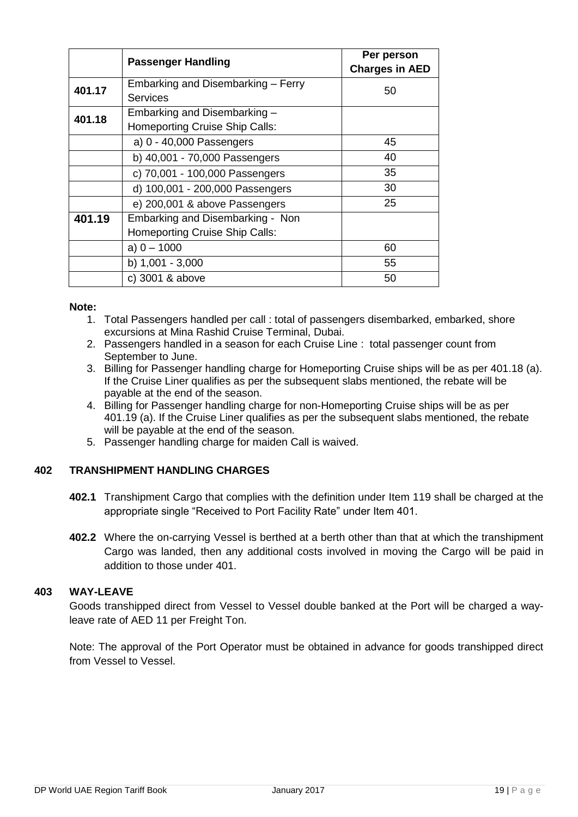|        | <b>Passenger Handling</b>             | Per person<br><b>Charges in AED</b> |
|--------|---------------------------------------|-------------------------------------|
| 401.17 | Embarking and Disembarking - Ferry    | 50                                  |
|        | <b>Services</b>                       |                                     |
| 401.18 | Embarking and Disembarking -          |                                     |
|        | Homeporting Cruise Ship Calls:        |                                     |
|        | a) 0 - 40,000 Passengers              | 45                                  |
|        | b) 40,001 - 70,000 Passengers         | 40                                  |
|        | c) 70,001 - 100,000 Passengers        | 35                                  |
|        | d) 100,001 - 200,000 Passengers       | 30                                  |
|        | e) 200,001 & above Passengers         | 25                                  |
| 401.19 | Embarking and Disembarking - Non      |                                     |
|        | <b>Homeporting Cruise Ship Calls:</b> |                                     |
|        | a) $0 - 1000$                         | 60                                  |
|        | b) $1,001 - 3,000$                    | 55                                  |
|        | c) 3001 & above                       | 50                                  |

#### **Note:**

- 1. Total Passengers handled per call : total of passengers disembarked, embarked, shore excursions at Mina Rashid Cruise Terminal, Dubai.
- 2. Passengers handled in a season for each Cruise Line : total passenger count from September to June.
- 3. Billing for Passenger handling charge for Homeporting Cruise ships will be as per 401.18 (a). If the Cruise Liner qualifies as per the subsequent slabs mentioned, the rebate will be payable at the end of the season.
- 4. Billing for Passenger handling charge for non-Homeporting Cruise ships will be as per 401.19 (a). If the Cruise Liner qualifies as per the subsequent slabs mentioned, the rebate will be payable at the end of the season.
- 5. Passenger handling charge for maiden Call is waived.

#### **402 TRANSHIPMENT HANDLING CHARGES**

- **402.1** Transhipment Cargo that complies with the definition under Item 119 shall be charged at the appropriate single "Received to Port Facility Rate" under Item 401.
- **402.2** Where the on-carrying Vessel is berthed at a berth other than that at which the transhipment Cargo was landed, then any additional costs involved in moving the Cargo will be paid in addition to those under 401.

#### **403 WAY-LEAVE**

Goods transhipped direct from Vessel to Vessel double banked at the Port will be charged a wayleave rate of AED 11 per Freight Ton.

Note: The approval of the Port Operator must be obtained in advance for goods transhipped direct from Vessel to Vessel.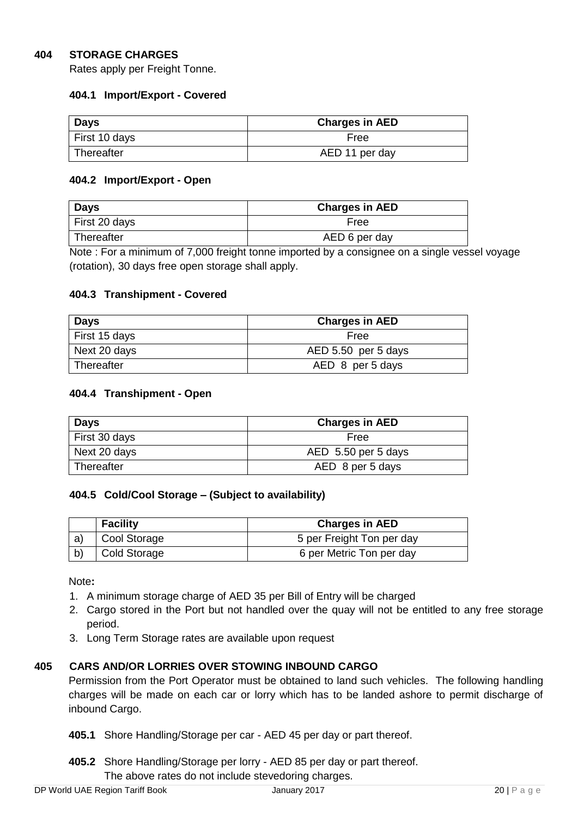## **404 STORAGE CHARGES**

Rates apply per Freight Tonne.

#### **404.1 Import/Export - Covered**

| <b>Days</b>   | <b>Charges in AED</b> |
|---------------|-----------------------|
| First 10 days | Free                  |
| Thereafter    | AED 11 per day        |

#### **404.2 Import/Export - Open**

| Days          | <b>Charges in AED</b> |
|---------------|-----------------------|
| First 20 days | Free                  |
| Thereafter    | AED 6 per day         |

Note : For a minimum of 7,000 freight tonne imported by a consignee on a single vessel voyage (rotation), 30 days free open storage shall apply.

#### **404.3 Transhipment - Covered**

| Days          | <b>Charges in AED</b> |
|---------------|-----------------------|
| First 15 days | Free                  |
| Next 20 days  | AED 5.50 per 5 days   |
| Thereafter    | AED 8 per 5 days      |

#### **404.4 Transhipment - Open**

| Days          | <b>Charges in AED</b> |
|---------------|-----------------------|
| First 30 days | Free                  |
| Next 20 days  | AED 5.50 per 5 days   |
| ∣ Thereafter  | AED 8 per 5 days      |

#### **404.5 Cold/Cool Storage – (Subject to availability)**

|    | <b>Facility</b>     | <b>Charges in AED</b>     |
|----|---------------------|---------------------------|
| a) | Cool Storage        | 5 per Freight Ton per day |
|    | <b>Cold Storage</b> | 6 per Metric Ton per day  |

Note**:** 

- 1. A minimum storage charge of AED 35 per Bill of Entry will be charged
- 2. Cargo stored in the Port but not handled over the quay will not be entitled to any free storage period.
- 3. Long Term Storage rates are available upon request

#### **405 CARS AND/OR LORRIES OVER STOWING INBOUND CARGO**

Permission from the Port Operator must be obtained to land such vehicles. The following handling charges will be made on each car or lorry which has to be landed ashore to permit discharge of inbound Cargo.

**405.1** Shore Handling/Storage per car - AED 45 per day or part thereof.

**405.2** Shore Handling/Storage per lorry - AED 85 per day or part thereof. The above rates do not include stevedoring charges.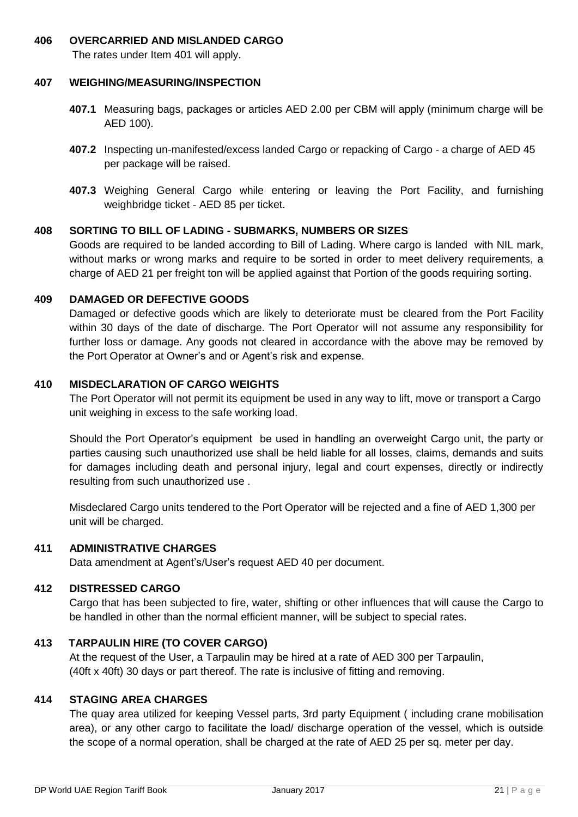#### **406 OVERCARRIED AND MISLANDED CARGO**

The rates under Item 401 will apply.

#### **407 WEIGHING/MEASURING/INSPECTION**

- **407.1** Measuring bags, packages or articles AED 2.00 per CBM will apply (minimum charge will be AED 100).
- **407.2** Inspecting un-manifested/excess landed Cargo or repacking of Cargo a charge of AED 45 per package will be raised.
- **407.3** Weighing General Cargo while entering or leaving the Port Facility, and furnishing weighbridge ticket - AED 85 per ticket.

#### **408 SORTING TO BILL OF LADING - SUBMARKS, NUMBERS OR SIZES**

Goods are required to be landed according to Bill of Lading. Where cargo is landed with NIL mark, without marks or wrong marks and require to be sorted in order to meet delivery requirements, a charge of AED 21 per freight ton will be applied against that Portion of the goods requiring sorting.

#### **409 DAMAGED OR DEFECTIVE GOODS**

Damaged or defective goods which are likely to deteriorate must be cleared from the Port Facility within 30 days of the date of discharge. The Port Operator will not assume any responsibility for further loss or damage. Any goods not cleared in accordance with the above may be removed by the Port Operator at Owner's and or Agent's risk and expense.

#### **410 MISDECLARATION OF CARGO WEIGHTS**

The Port Operator will not permit its equipment be used in any way to lift, move or transport a Cargo unit weighing in excess to the safe working load.

Should the Port Operator's equipment be used in handling an overweight Cargo unit, the party or parties causing such unauthorized use shall be held liable for all losses, claims, demands and suits for damages including death and personal injury, legal and court expenses, directly or indirectly resulting from such unauthorized use .

Misdeclared Cargo units tendered to the Port Operator will be rejected and a fine of AED 1,300 per unit will be charged.

#### **411 ADMINISTRATIVE CHARGES**

Data amendment at Agent's/User's request AED 40 per document.

#### **412 DISTRESSED CARGO**

Cargo that has been subjected to fire, water, shifting or other influences that will cause the Cargo to be handled in other than the normal efficient manner, will be subject to special rates.

#### **413 TARPAULIN HIRE (TO COVER CARGO)**

At the request of the User, a Tarpaulin may be hired at a rate of AED 300 per Tarpaulin, (40ft x 40ft) 30 days or part thereof. The rate is inclusive of fitting and removing.

#### **414 STAGING AREA CHARGES**

The quay area utilized for keeping Vessel parts, 3rd party Equipment ( including crane mobilisation area), or any other cargo to facilitate the load/ discharge operation of the vessel, which is outside the scope of a normal operation, shall be charged at the rate of AED 25 per sq. meter per day.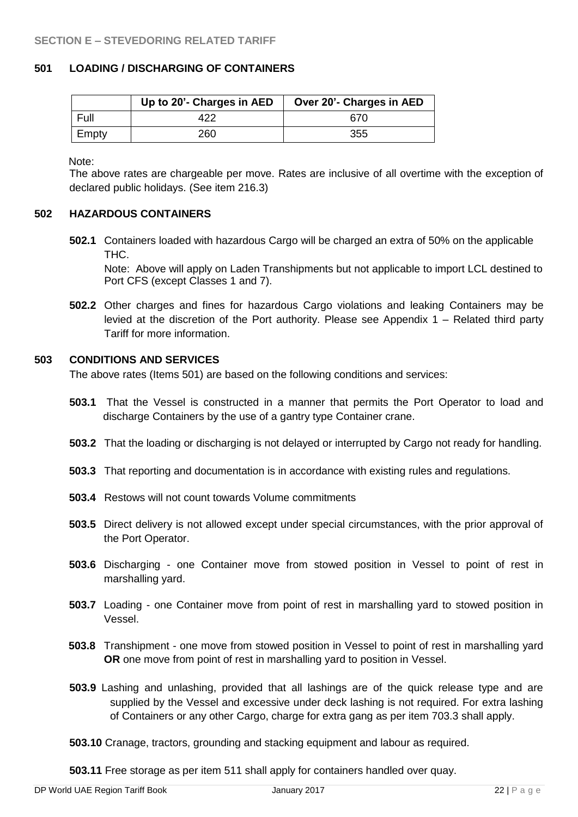## **501 LOADING / DISCHARGING OF CONTAINERS**

|       | Up to 20'- Charges in AED | Over 20'- Charges in AED |
|-------|---------------------------|--------------------------|
| Full  |                           | 670                      |
| Empty | 260                       | 355                      |

Note:

The above rates are chargeable per move. Rates are inclusive of all overtime with the exception of declared public holidays. (See item 216.3)

#### **502 HAZARDOUS CONTAINERS**

**502.1** Containers loaded with hazardous Cargo will be charged an extra of 50% on the applicable THC.

Note: Above will apply on Laden Transhipments but not applicable to import LCL destined to Port CFS (except Classes 1 and 7).

**502.2** Other charges and fines for hazardous Cargo violations and leaking Containers may be levied at the discretion of the Port authority. Please see Appendix 1 – Related third party Tariff for more information.

#### **503 CONDITIONS AND SERVICES**

The above rates (Items 501) are based on the following conditions and services:

- **503.1** That the Vessel is constructed in a manner that permits the Port Operator to load and discharge Containers by the use of a gantry type Container crane.
- **503.2** That the loading or discharging is not delayed or interrupted by Cargo not ready for handling.
- **503.3** That reporting and documentation is in accordance with existing rules and regulations.
- **503.4** Restows will not count towards Volume commitments
- **503.5** Direct delivery is not allowed except under special circumstances, with the prior approval of the Port Operator.
- **503.6** Discharging one Container move from stowed position in Vessel to point of rest in marshalling yard.
- **503.7** Loading one Container move from point of rest in marshalling yard to stowed position in Vessel.
- **503.8** Transhipment one move from stowed position in Vessel to point of rest in marshalling yard **OR** one move from point of rest in marshalling yard to position in Vessel.
- **503.9** Lashing and unlashing, provided that all lashings are of the quick release type and are supplied by the Vessel and excessive under deck lashing is not required. For extra lashing of Containers or any other Cargo, charge for extra gang as per item 703.3 shall apply.
- **503.10** Cranage, tractors, grounding and stacking equipment and labour as required.

**503.11** Free storage as per item 511 shall apply for containers handled over quay.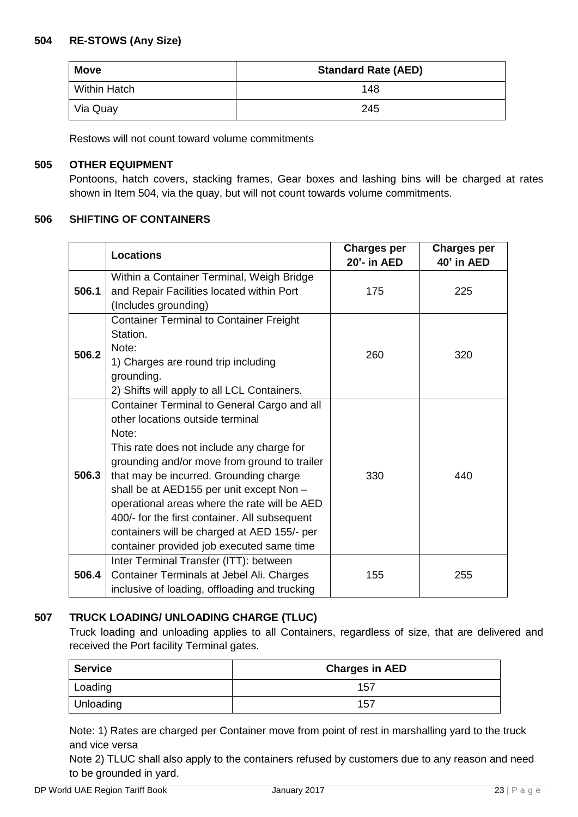## **504 RE-STOWS (Any Size)**

| <b>Move</b>         | <b>Standard Rate (AED)</b> |
|---------------------|----------------------------|
| <b>Within Hatch</b> | 148                        |
| Via Quay            | 245                        |

Restows will not count toward volume commitments

# **505 OTHER EQUIPMENT**

Pontoons, hatch covers, stacking frames, Gear boxes and lashing bins will be charged at rates shown in Item 504, via the quay, but will not count towards volume commitments.

#### **506 SHIFTING OF CONTAINERS**

|       | <b>Locations</b>                                                                       | <b>Charges per</b><br>20'- in AED | <b>Charges per</b><br>40' in AED |
|-------|----------------------------------------------------------------------------------------|-----------------------------------|----------------------------------|
| 506.1 | Within a Container Terminal, Weigh Bridge<br>and Repair Facilities located within Port | 175                               | 225                              |
|       | (Includes grounding)                                                                   |                                   |                                  |
|       | <b>Container Terminal to Container Freight</b>                                         |                                   |                                  |
|       | Station.                                                                               |                                   |                                  |
| 506.2 | Note:                                                                                  | 260                               | 320                              |
|       | 1) Charges are round trip including                                                    |                                   |                                  |
|       | grounding.                                                                             |                                   |                                  |
|       | 2) Shifts will apply to all LCL Containers.                                            |                                   |                                  |
|       | Container Terminal to General Cargo and all                                            |                                   |                                  |
|       | other locations outside terminal                                                       |                                   |                                  |
| 506.3 | Note:                                                                                  |                                   |                                  |
|       | This rate does not include any charge for                                              |                                   |                                  |
|       | grounding and/or move from ground to trailer<br>that may be incurred. Grounding charge | 330                               | 440                              |
|       | shall be at AED155 per unit except Non -                                               |                                   |                                  |
|       | operational areas where the rate will be AED                                           |                                   |                                  |
|       | 400/- for the first container. All subsequent                                          |                                   |                                  |
|       | containers will be charged at AED 155/- per                                            |                                   |                                  |
|       | container provided job executed same time                                              |                                   |                                  |
|       | Inter Terminal Transfer (ITT): between                                                 |                                   |                                  |
| 506.4 | Container Terminals at Jebel Ali. Charges                                              | 155                               | 255                              |
|       | inclusive of loading, offloading and trucking                                          |                                   |                                  |

#### **507 TRUCK LOADING/ UNLOADING CHARGE (TLUC)**

Truck loading and unloading applies to all Containers, regardless of size, that are delivered and received the Port facility Terminal gates.

| <b>Service</b> | <b>Charges in AED</b> |
|----------------|-----------------------|
| Loading        | 157                   |
| Unloading      | 157                   |

Note: 1) Rates are charged per Container move from point of rest in marshalling yard to the truck and vice versa

Note 2) TLUC shall also apply to the containers refused by customers due to any reason and need to be grounded in yard.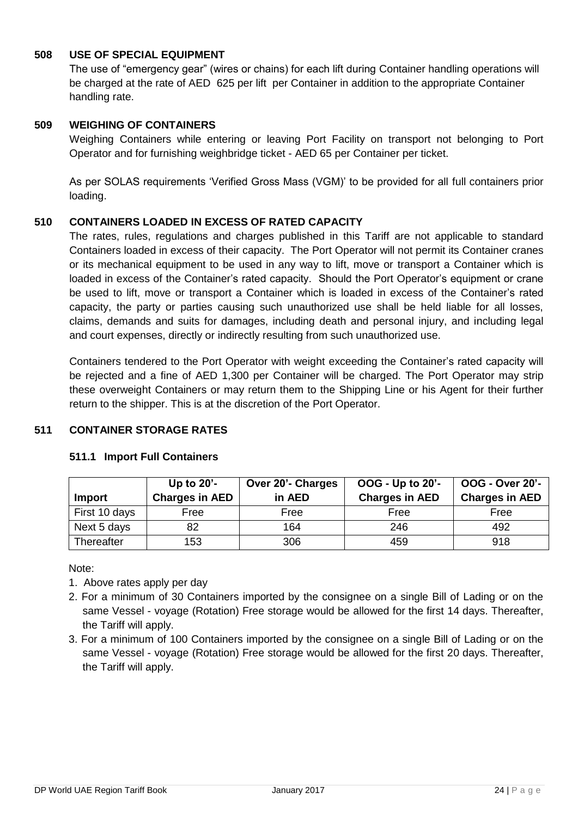## **508 USE OF SPECIAL EQUIPMENT**

The use of "emergency gear" (wires or chains) for each lift during Container handling operations will be charged at the rate of AED 625 per lift per Container in addition to the appropriate Container handling rate.

## **509 WEIGHING OF CONTAINERS**

Weighing Containers while entering or leaving Port Facility on transport not belonging to Port Operator and for furnishing weighbridge ticket - AED 65 per Container per ticket.

As per SOLAS requirements 'Verified Gross Mass (VGM)' to be provided for all full containers prior loading.

#### **510 CONTAINERS LOADED IN EXCESS OF RATED CAPACITY**

The rates, rules, regulations and charges published in this Tariff are not applicable to standard Containers loaded in excess of their capacity. The Port Operator will not permit its Container cranes or its mechanical equipment to be used in any way to lift, move or transport a Container which is loaded in excess of the Container's rated capacity. Should the Port Operator's equipment or crane be used to lift, move or transport a Container which is loaded in excess of the Container's rated capacity, the party or parties causing such unauthorized use shall be held liable for all losses, claims, demands and suits for damages, including death and personal injury, and including legal and court expenses, directly or indirectly resulting from such unauthorized use.

Containers tendered to the Port Operator with weight exceeding the Container's rated capacity will be rejected and a fine of AED 1,300 per Container will be charged. The Port Operator may strip these overweight Containers or may return them to the Shipping Line or his Agent for their further return to the shipper. This is at the discretion of the Port Operator.

## **511 CONTAINER STORAGE RATES**

| <b>Import</b>     | Up to $20'$ -<br><b>Charges in AED</b> | Over 20'- Charges<br>in AED | OOG - Up to 20'-<br><b>Charges in AED</b> | <b>OOG - Over 20'-</b><br><b>Charges in AED</b> |
|-------------------|----------------------------------------|-----------------------------|-------------------------------------------|-------------------------------------------------|
| First 10 days     | Free                                   | Free                        | Free                                      | Free                                            |
| Next 5 days       | 82                                     | 164                         | 246                                       | 492                                             |
| <b>Thereafter</b> | 153                                    | 306                         | 459                                       | 918                                             |

#### **511.1 Import Full Containers**

Note:

- 1. Above rates apply per day
- 2. For a minimum of 30 Containers imported by the consignee on a single Bill of Lading or on the same Vessel - voyage (Rotation) Free storage would be allowed for the first 14 days. Thereafter, the Tariff will apply.
- 3. For a minimum of 100 Containers imported by the consignee on a single Bill of Lading or on the same Vessel - voyage (Rotation) Free storage would be allowed for the first 20 days. Thereafter, the Tariff will apply.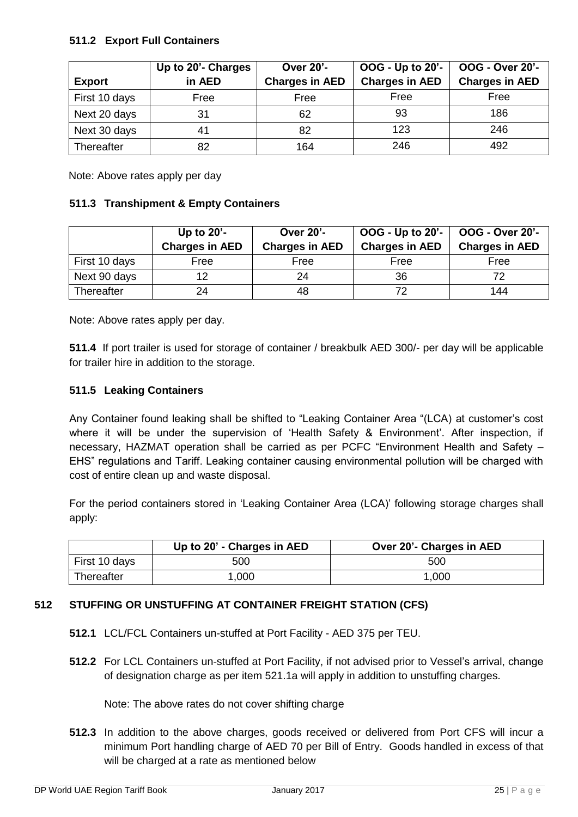## **511.2 Export Full Containers**

|               | Up to 20'- Charges | <b>Over 20'-</b>      | OOG - Up to 20'-      | OOG - Over 20'-       |
|---------------|--------------------|-----------------------|-----------------------|-----------------------|
| <b>Export</b> | in AED             | <b>Charges in AED</b> | <b>Charges in AED</b> | <b>Charges in AED</b> |
| First 10 days | Free               | Free                  | Free                  | Free                  |
| Next 20 days  | 31                 | 62                    | 93                    | 186                   |
| Next 30 days  | 41                 | 82                    | 123                   | 246                   |
| Thereafter    | 82                 | 164                   | 246                   | 492                   |

Note: Above rates apply per day

#### **511.3 Transhipment & Empty Containers**

|                   | Up to $20'$ -         | <b>Over 20'-</b>      | OOG - Up to 20'-      | <b>OOG - Over 20'-</b> |
|-------------------|-----------------------|-----------------------|-----------------------|------------------------|
|                   | <b>Charges in AED</b> | <b>Charges in AED</b> | <b>Charges in AED</b> | <b>Charges in AED</b>  |
| First 10 days     | Free                  | Free                  | Free                  | Free                   |
| Next 90 days      | 12                    | 24                    | 36                    |                        |
| <b>Thereafter</b> | 24                    | 48                    | 72                    | 144                    |

Note: Above rates apply per day.

**511.4** If port trailer is used for storage of container / breakbulk AED 300/- per day will be applicable for trailer hire in addition to the storage.

#### **511.5 Leaking Containers**

Any Container found leaking shall be shifted to "Leaking Container Area "(LCA) at customer's cost where it will be under the supervision of 'Health Safety & Environment'. After inspection, if necessary, HAZMAT operation shall be carried as per PCFC "Environment Health and Safety – EHS" regulations and Tariff. Leaking container causing environmental pollution will be charged with cost of entire clean up and waste disposal.

For the period containers stored in 'Leaking Container Area (LCA)' following storage charges shall apply:

|               | Up to 20' - Charges in AED | Over 20'- Charges in AED |
|---------------|----------------------------|--------------------------|
| First 10 days | 500                        | 500                      |
| Thereafter    | 1.000                      | 1,000                    |

# **512 STUFFING OR UNSTUFFING AT CONTAINER FREIGHT STATION (CFS)**

- **512.1** LCL/FCL Containers un-stuffed at Port Facility AED 375 per TEU.
- **512.2** For LCL Containers un-stuffed at Port Facility, if not advised prior to Vessel's arrival, change of designation charge as per item 521.1a will apply in addition to unstuffing charges.

Note: The above rates do not cover shifting charge

**512.3** In addition to the above charges, goods received or delivered from Port CFS will incur a minimum Port handling charge of AED 70 per Bill of Entry. Goods handled in excess of that will be charged at a rate as mentioned below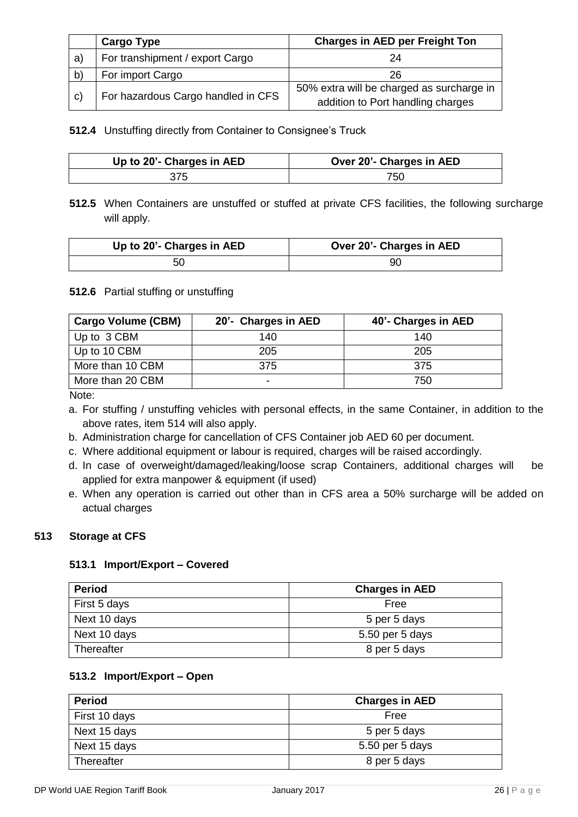|              | <b>Cargo Type</b>                  | <b>Charges in AED per Freight Ton</b>     |
|--------------|------------------------------------|-------------------------------------------|
| a)           | For transhipment / export Cargo    | 24                                        |
| $\mathsf{b}$ | For import Cargo                   | 26                                        |
|              |                                    | 50% extra will be charged as surcharge in |
| C)           | For hazardous Cargo handled in CFS | addition to Port handling charges         |

**512.4** Unstuffing directly from Container to Consignee's Truck

| Up to 20'- Charges in AED | Over 20'- Charges in AED |
|---------------------------|--------------------------|
| 375                       | 750                      |

**512.5** When Containers are unstuffed or stuffed at private CFS facilities, the following surcharge will apply.

| Up to 20'- Charges in AED | Over 20'- Charges in AED |  |
|---------------------------|--------------------------|--|
| 50                        | 90                       |  |

# **512.6** Partial stuffing or unstuffing

| <b>Cargo Volume (CBM)</b> | 20'- Charges in AED      | 40'- Charges in AED |
|---------------------------|--------------------------|---------------------|
| Up to 3 CBM               | 140                      | 140                 |
| Up to 10 CBM              | 205                      | 205                 |
| More than 10 CBM          | 375                      | 375                 |
| More than 20 CBM          | $\overline{\phantom{0}}$ | 750                 |

Note:

a. For stuffing / unstuffing vehicles with personal effects, in the same Container, in addition to the above rates, item 514 will also apply.

- b. Administration charge for cancellation of CFS Container job AED 60 per document.
- c. Where additional equipment or labour is required, charges will be raised accordingly.
- d. In case of overweight/damaged/leaking/loose scrap Containers, additional charges will be applied for extra manpower & equipment (if used)
- e. When any operation is carried out other than in CFS area a 50% surcharge will be added on actual charges

## **513 Storage at CFS**

#### **513.1 Import/Export – Covered**

| <b>Period</b> | <b>Charges in AED</b> |
|---------------|-----------------------|
| First 5 days  | Free                  |
| Next 10 days  | 5 per 5 days          |
| Next 10 days  | 5.50 per 5 days       |
| Thereafter    | 8 per 5 days          |

## **513.2 Import/Export – Open**

| <b>Period</b> | <b>Charges in AED</b> |
|---------------|-----------------------|
| First 10 days | Free                  |
| Next 15 days  | 5 per 5 days          |
| Next 15 days  | 5.50 per 5 days       |
| Thereafter    | 8 per 5 days          |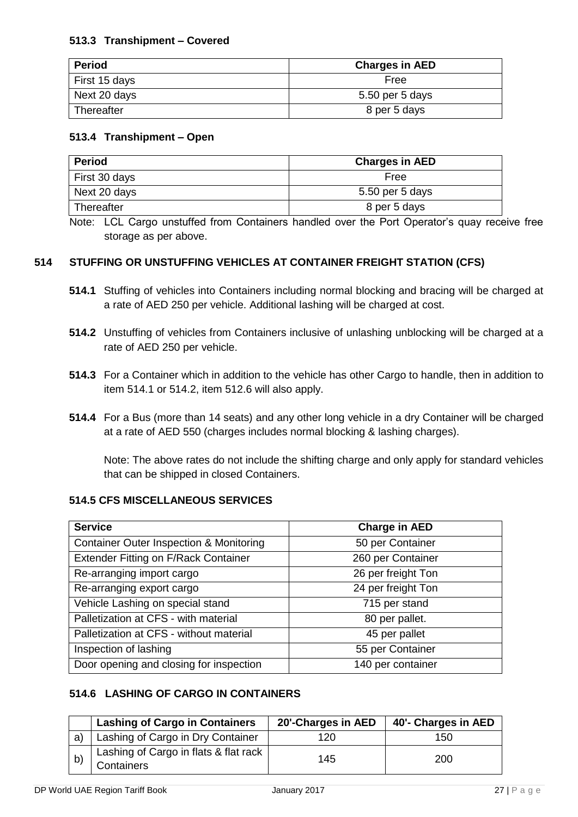# **513.3 Transhipment – Covered**

| <b>Period</b> | <b>Charges in AED</b> |
|---------------|-----------------------|
| First 15 days | Free                  |
| Next 20 days  | 5.50 per 5 days       |
| Thereafter    | 8 per 5 days          |

## **513.4 Transhipment – Open**

| <b>Period</b> | <b>Charges in AED</b> |
|---------------|-----------------------|
| First 30 days | Free                  |
| Next 20 days  | 5.50 per 5 days       |
| Thereafter    | 8 per 5 days          |

Note: LCL Cargo unstuffed from Containers handled over the Port Operator's quay receive free storage as per above.

# **514 STUFFING OR UNSTUFFING VEHICLES AT CONTAINER FREIGHT STATION (CFS)**

- **514.1** Stuffing of vehicles into Containers including normal blocking and bracing will be charged at a rate of AED 250 per vehicle. Additional lashing will be charged at cost.
- **514.2** Unstuffing of vehicles from Containers inclusive of unlashing unblocking will be charged at a rate of AED 250 per vehicle.
- **514.3** For a Container which in addition to the vehicle has other Cargo to handle, then in addition to item 514.1 or 514.2, item 512.6 will also apply.
- **514.4** For a Bus (more than 14 seats) and any other long vehicle in a dry Container will be charged at a rate of AED 550 (charges includes normal blocking & lashing charges).

Note: The above rates do not include the shifting charge and only apply for standard vehicles that can be shipped in closed Containers.

# **514.5 CFS MISCELLANEOUS SERVICES**

| <b>Service</b>                                     | <b>Charge in AED</b> |
|----------------------------------------------------|----------------------|
| <b>Container Outer Inspection &amp; Monitoring</b> | 50 per Container     |
| Extender Fitting on F/Rack Container               | 260 per Container    |
| Re-arranging import cargo                          | 26 per freight Ton   |
| Re-arranging export cargo                          | 24 per freight Ton   |
| Vehicle Lashing on special stand                   | 715 per stand        |
| Palletization at CFS - with material               | 80 per pallet.       |
| Palletization at CFS - without material            | 45 per pallet        |
| Inspection of lashing                              | 55 per Container     |
| Door opening and closing for inspection            | 140 per container    |

# **514.6 LASHING OF CARGO IN CONTAINERS**

|    | <b>Lashing of Cargo in Containers</b>                      | 20'-Charges in AED | 40'- Charges in AED |
|----|------------------------------------------------------------|--------------------|---------------------|
| a  | Lashing of Cargo in Dry Container                          | 120                | 150                 |
| b' | Lashing of Cargo in flats & flat rack<br><b>Containers</b> | 145                | 200                 |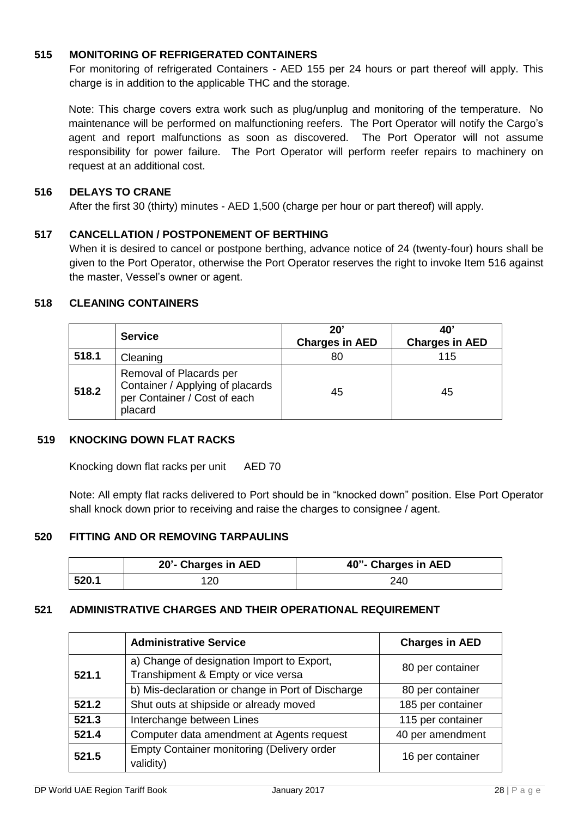## **515 MONITORING OF REFRIGERATED CONTAINERS**

For monitoring of refrigerated Containers - AED 155 per 24 hours or part thereof will apply. This charge is in addition to the applicable THC and the storage.

Note: This charge covers extra work such as plug/unplug and monitoring of the temperature. No maintenance will be performed on malfunctioning reefers. The Port Operator will notify the Cargo's agent and report malfunctions as soon as discovered. The Port Operator will not assume responsibility for power failure. The Port Operator will perform reefer repairs to machinery on request at an additional cost.

## **516 DELAYS TO CRANE**

After the first 30 (thirty) minutes - AED 1,500 (charge per hour or part thereof) will apply.

## **517 CANCELLATION / POSTPONEMENT OF BERTHING**

When it is desired to cancel or postpone berthing, advance notice of 24 (twenty-four) hours shall be given to the Port Operator, otherwise the Port Operator reserves the right to invoke Item 516 against the master, Vessel's owner or agent.

## **518 CLEANING CONTAINERS**

|       | <b>Service</b>                                                                                         | $20^{\circ}$<br><b>Charges in AED</b> | 40'<br><b>Charges in AED</b> |
|-------|--------------------------------------------------------------------------------------------------------|---------------------------------------|------------------------------|
| 518.1 | Cleaning                                                                                               | 80                                    | 115                          |
| 518.2 | Removal of Placards per<br>Container / Applying of placards<br>per Container / Cost of each<br>placard | 45                                    | 45                           |

#### **519 KNOCKING DOWN FLAT RACKS**

Knocking down flat racks per unit AED 70

Note: All empty flat racks delivered to Port should be in "knocked down" position. Else Port Operator shall knock down prior to receiving and raise the charges to consignee / agent.

#### **520 FITTING AND OR REMOVING TARPAULINS**

|       | 20'- Charges in AED | 40"- Charges in AED |
|-------|---------------------|---------------------|
| 520.1 |                     | 240                 |

#### **521 ADMINISTRATIVE CHARGES AND THEIR OPERATIONAL REQUIREMENT**

|                                                 | <b>Administrative Service</b>                                                    | <b>Charges in AED</b> |
|-------------------------------------------------|----------------------------------------------------------------------------------|-----------------------|
| 521.1                                           | a) Change of designation Import to Export,<br>Transhipment & Empty or vice versa | 80 per container      |
|                                                 | b) Mis-declaration or change in Port of Discharge                                | 80 per container      |
| 521.2<br>Shut outs at shipside or already moved |                                                                                  | 185 per container     |
| 521.3<br>Interchange between Lines              |                                                                                  | 115 per container     |
| 521.4                                           | Computer data amendment at Agents request                                        | 40 per amendment      |
| 521.5                                           | <b>Empty Container monitoring (Delivery order</b><br>validity)                   | 16 per container      |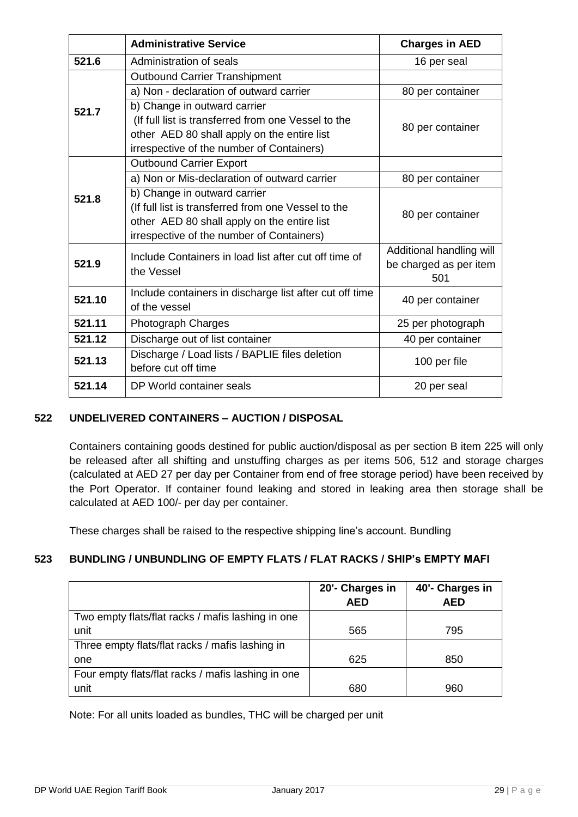|                                     | <b>Administrative Service</b>                           | <b>Charges in AED</b>    |  |
|-------------------------------------|---------------------------------------------------------|--------------------------|--|
| 521.6                               | Administration of seals                                 | 16 per seal              |  |
|                                     | <b>Outbound Carrier Transhipment</b>                    |                          |  |
|                                     | a) Non - declaration of outward carrier                 | 80 per container         |  |
| 521.7                               | b) Change in outward carrier                            |                          |  |
|                                     | (If full list is transferred from one Vessel to the     | 80 per container         |  |
|                                     | other AED 80 shall apply on the entire list             |                          |  |
|                                     | irrespective of the number of Containers)               |                          |  |
|                                     | <b>Outbound Carrier Export</b>                          |                          |  |
|                                     | a) Non or Mis-declaration of outward carrier            | 80 per container         |  |
| 521.8                               | b) Change in outward carrier                            |                          |  |
|                                     | (If full list is transferred from one Vessel to the     | 80 per container         |  |
|                                     | other AED 80 shall apply on the entire list             |                          |  |
|                                     | irrespective of the number of Containers)               |                          |  |
|                                     | Include Containers in load list after cut off time of   | Additional handling will |  |
| 521.9                               | the Vessel                                              | be charged as per item   |  |
|                                     |                                                         | 501                      |  |
| 521.10                              | Include containers in discharge list after cut off time | 40 per container         |  |
|                                     | of the vessel                                           |                          |  |
| 521.11<br><b>Photograph Charges</b> |                                                         | 25 per photograph        |  |
| 521.12                              | Discharge out of list container                         | 40 per container         |  |
| 521.13                              | Discharge / Load lists / BAPLIE files deletion          | 100 per file             |  |
|                                     | before cut off time                                     |                          |  |
| 521.14                              | DP World container seals                                | 20 per seal              |  |

# **522 UNDELIVERED CONTAINERS – AUCTION / DISPOSAL**

Containers containing goods destined for public auction/disposal as per section B item 225 will only be released after all shifting and unstuffing charges as per items 506, 512 and storage charges (calculated at AED 27 per day per Container from end of free storage period) have been received by the Port Operator. If container found leaking and stored in leaking area then storage shall be calculated at AED 100/- per day per container.

These charges shall be raised to the respective shipping line's account. Bundling

# **523 BUNDLING / UNBUNDLING OF EMPTY FLATS / FLAT RACKS / SHIP's EMPTY MAFI**

|                                                    | 20'- Charges in<br><b>AED</b> | 40'- Charges in<br>AED |
|----------------------------------------------------|-------------------------------|------------------------|
| Two empty flats/flat racks / mafis lashing in one  |                               |                        |
| unit                                               | 565                           | 795                    |
| Three empty flats/flat racks / mafis lashing in    |                               |                        |
| one                                                | 625                           | 850                    |
| Four empty flats/flat racks / mafis lashing in one |                               |                        |
| unit                                               | 680                           | 960                    |

Note: For all units loaded as bundles, THC will be charged per unit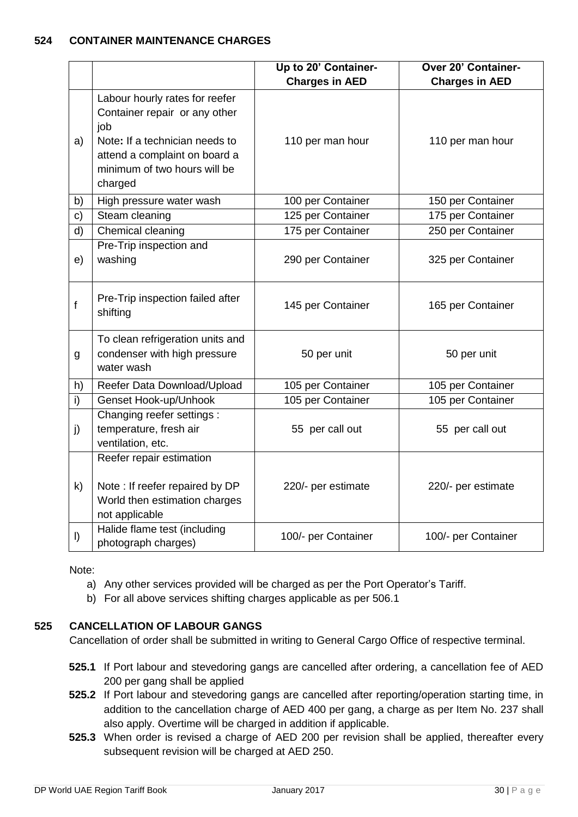## **524 CONTAINER MAINTENANCE CHARGES**

|             |                                                                                                                                                                                      | Up to 20' Container-  | Over 20' Container-   |
|-------------|--------------------------------------------------------------------------------------------------------------------------------------------------------------------------------------|-----------------------|-----------------------|
|             |                                                                                                                                                                                      | <b>Charges in AED</b> | <b>Charges in AED</b> |
| a)          | Labour hourly rates for reefer<br>Container repair or any other<br>iob<br>Note: If a technician needs to<br>attend a complaint on board a<br>minimum of two hours will be<br>charged | 110 per man hour      | 110 per man hour      |
| b)          | High pressure water wash                                                                                                                                                             | 100 per Container     | 150 per Container     |
| c)          | Steam cleaning                                                                                                                                                                       | 125 per Container     | 175 per Container     |
| d)          | Chemical cleaning                                                                                                                                                                    | 175 per Container     | 250 per Container     |
| e)          | Pre-Trip inspection and<br>washing                                                                                                                                                   | 290 per Container     | 325 per Container     |
| $\mathbf f$ | Pre-Trip inspection failed after<br>shifting                                                                                                                                         | 145 per Container     | 165 per Container     |
| g           | To clean refrigeration units and<br>condenser with high pressure<br>water wash                                                                                                       | 50 per unit           | 50 per unit           |
| h)          | Reefer Data Download/Upload                                                                                                                                                          | 105 per Container     | 105 per Container     |
| i)          | Genset Hook-up/Unhook                                                                                                                                                                | 105 per Container     | 105 per Container     |
| j)          | Changing reefer settings :<br>temperature, fresh air<br>ventilation, etc.                                                                                                            | 55 per call out       | 55 per call out       |
| k)          | Reefer repair estimation<br>Note: If reefer repaired by DP<br>World then estimation charges<br>not applicable                                                                        | 220/- per estimate    | 220/- per estimate    |
| $\vert$     | Halide flame test (including<br>photograph charges)                                                                                                                                  | 100/- per Container   | 100/- per Container   |

Note:

- a) Any other services provided will be charged as per the Port Operator's Tariff.
- b) For all above services shifting charges applicable as per 506.1

# **525 CANCELLATION OF LABOUR GANGS**

Cancellation of order shall be submitted in writing to General Cargo Office of respective terminal.

- **525.1** If Port labour and stevedoring gangs are cancelled after ordering, a cancellation fee of AED 200 per gang shall be applied
- **525.2** If Port labour and stevedoring gangs are cancelled after reporting/operation starting time, in addition to the cancellation charge of AED 400 per gang, a charge as per Item No. 237 shall also apply. Overtime will be charged in addition if applicable.
- **525.3** When order is revised a charge of AED 200 per revision shall be applied, thereafter every subsequent revision will be charged at AED 250.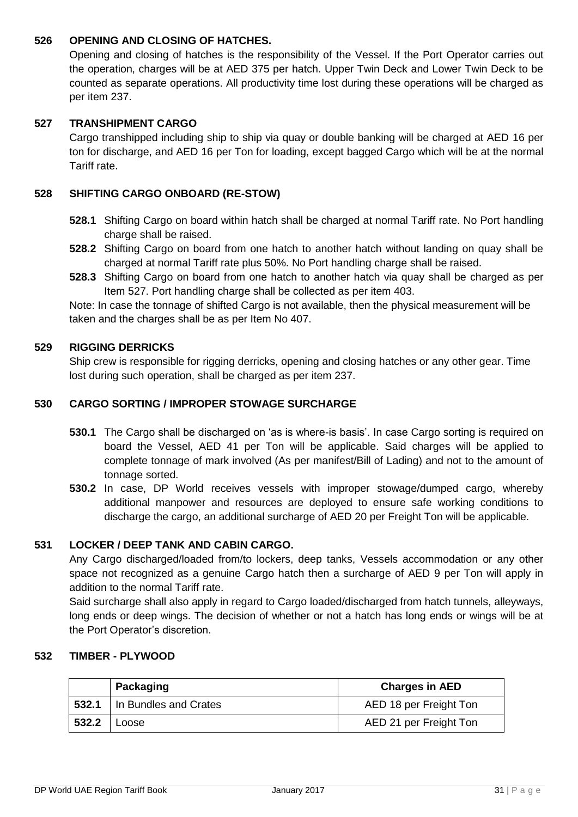## **526 OPENING AND CLOSING OF HATCHES.**

Opening and closing of hatches is the responsibility of the Vessel. If the Port Operator carries out the operation, charges will be at AED 375 per hatch. Upper Twin Deck and Lower Twin Deck to be counted as separate operations. All productivity time lost during these operations will be charged as per item 237.

## **527 TRANSHIPMENT CARGO**

Cargo transhipped including ship to ship via quay or double banking will be charged at AED 16 per ton for discharge, and AED 16 per Ton for loading, except bagged Cargo which will be at the normal Tariff rate.

## **528 SHIFTING CARGO ONBOARD (RE-STOW)**

- **528.1** Shifting Cargo on board within hatch shall be charged at normal Tariff rate. No Port handling charge shall be raised.
- **528.2** Shifting Cargo on board from one hatch to another hatch without landing on quay shall be charged at normal Tariff rate plus 50%. No Port handling charge shall be raised.
- **528.3** Shifting Cargo on board from one hatch to another hatch via quay shall be charged as per Item 527. Port handling charge shall be collected as per item 403.

Note: In case the tonnage of shifted Cargo is not available, then the physical measurement will be taken and the charges shall be as per Item No 407.

#### **529 RIGGING DERRICKS**

Ship crew is responsible for rigging derricks, opening and closing hatches or any other gear. Time lost during such operation, shall be charged as per item 237.

## **530 CARGO SORTING / IMPROPER STOWAGE SURCHARGE**

- **530.1** The Cargo shall be discharged on 'as is where-is basis'. In case Cargo sorting is required on board the Vessel, AED 41 per Ton will be applicable. Said charges will be applied to complete tonnage of mark involved (As per manifest/Bill of Lading) and not to the amount of tonnage sorted.
- **530.2** In case, DP World receives vessels with improper stowage/dumped cargo, whereby additional manpower and resources are deployed to ensure safe working conditions to discharge the cargo, an additional surcharge of AED 20 per Freight Ton will be applicable.

# **531 LOCKER / DEEP TANK AND CABIN CARGO.**

Any Cargo discharged/loaded from/to lockers, deep tanks, Vessels accommodation or any other space not recognized as a genuine Cargo hatch then a surcharge of AED 9 per Ton will apply in addition to the normal Tariff rate.

Said surcharge shall also apply in regard to Cargo loaded/discharged from hatch tunnels, alleyways, long ends or deep wings. The decision of whether or not a hatch has long ends or wings will be at the Port Operator's discretion.

## **532 TIMBER - PLYWOOD**

|       | Packaging             | <b>Charges in AED</b>  |
|-------|-----------------------|------------------------|
| 532.1 | In Bundles and Crates | AED 18 per Freight Ton |
| 532.2 | Loose                 | AED 21 per Freight Ton |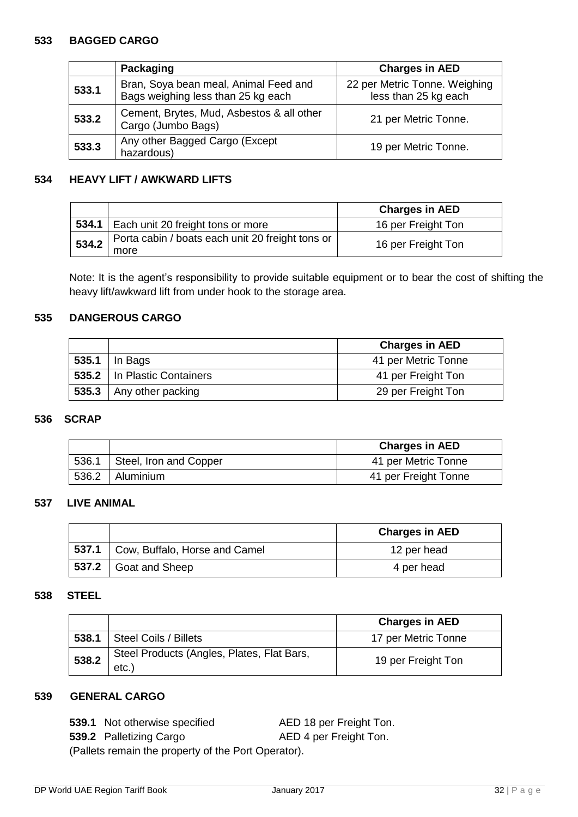#### **533 BAGGED CARGO**

|       | Packaging                                                                   | <b>Charges in AED</b>                                 |  |
|-------|-----------------------------------------------------------------------------|-------------------------------------------------------|--|
| 533.1 | Bran, Soya bean meal, Animal Feed and<br>Bags weighing less than 25 kg each | 22 per Metric Tonne. Weighing<br>less than 25 kg each |  |
| 533.2 | Cement, Brytes, Mud, Asbestos & all other<br>Cargo (Jumbo Bags)             | 21 per Metric Tonne.                                  |  |
| 533.3 | Any other Bagged Cargo (Except<br>hazardous)                                | 19 per Metric Tonne.                                  |  |

## **534 HEAVY LIFT / AWKWARD LIFTS**

|       |                                                          | <b>Charges in AED</b> |
|-------|----------------------------------------------------------|-----------------------|
|       | 534.1   Each unit 20 freight tons or more                | 16 per Freight Ton    |
| 534.2 | Porta cabin / boats each unit 20 freight tons or<br>more | 16 per Freight Ton    |

Note: It is the agent's responsibility to provide suitable equipment or to bear the cost of shifting the heavy lift/awkward lift from under hook to the storage area.

#### **535 DANGEROUS CARGO**

|                               | <b>Charges in AED</b> |
|-------------------------------|-----------------------|
| 535.1   In Bags               | 41 per Metric Tonne   |
| 535.2   In Plastic Containers | 41 per Freight Ton    |
| 535.3   Any other packing     | 29 per Freight Ton    |

#### **536 SCRAP**

|       |                              | <b>Charges in AED</b> |
|-------|------------------------------|-----------------------|
|       | 536.1 Steel, Iron and Copper | 41 per Metric Tonne   |
| 536.2 | Aluminium                    | 41 per Freight Tonne  |

## **537 LIVE ANIMAL**

|                                       | <b>Charges in AED</b> |
|---------------------------------------|-----------------------|
| 537.1   Cow, Buffalo, Horse and Camel | 12 per head           |
| 537.2 Goat and Sheep                  | 4 per head            |

#### **538 STEEL**

|       |                                                     | <b>Charges in AED</b> |
|-------|-----------------------------------------------------|-----------------------|
| 538.1 | Steel Coils / Billets                               | 17 per Metric Tonne   |
| 538.2 | Steel Products (Angles, Plates, Flat Bars,<br>etc.) | 19 per Freight Ton    |

# **539 GENERAL CARGO**

**539.1** Not otherwise specified AED 18 per Freight Ton.

**539.2** Palletizing Cargo **AED 4 per Freight Ton.** 

(Pallets remain the property of the Port Operator).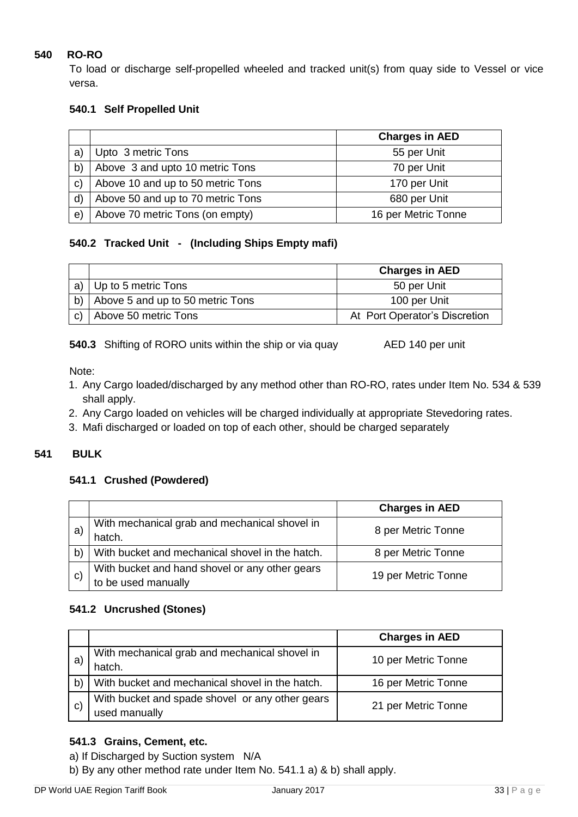# **540 RO-RO**

To load or discharge self-propelled wheeled and tracked unit(s) from quay side to Vessel or vice versa.

# **540.1 Self Propelled Unit**

|              |                                   | <b>Charges in AED</b> |
|--------------|-----------------------------------|-----------------------|
| a)           | Upto 3 metric Tons                | 55 per Unit           |
| b)           | Above 3 and upto 10 metric Tons   | 70 per Unit           |
| $\mathsf{C}$ | Above 10 and up to 50 metric Tons | 170 per Unit          |
| $\mathsf{d}$ | Above 50 and up to 70 metric Tons | 680 per Unit          |
| e)           | Above 70 metric Tons (on empty)   | 16 per Metric Tonne   |

# **540.2 Tracked Unit - (Including Ships Empty mafi)**

|    |                                  | <b>Charges in AED</b>         |
|----|----------------------------------|-------------------------------|
| a) | Up to 5 metric Tons              | 50 per Unit                   |
| b) | Above 5 and up to 50 metric Tons | 100 per Unit                  |
| C) | Above 50 metric Tons             | At Port Operator's Discretion |

**540.3** Shifting of RORO units within the ship or via quay AED 140 per unit

Note:

- 1. Any Cargo loaded/discharged by any method other than RO-RO, rates under Item No. 534 & 539 shall apply.
- 2. Any Cargo loaded on vehicles will be charged individually at appropriate Stevedoring rates.
- 3. Mafi discharged or loaded on top of each other, should be charged separately

# **541 BULK**

# **541.1 Crushed (Powdered)**

|              |                                                 | <b>Charges in AED</b> |  |
|--------------|-------------------------------------------------|-----------------------|--|
|              | With mechanical grab and mechanical shovel in   | 8 per Metric Tonne    |  |
| а            | hatch.                                          |                       |  |
| $\mathsf{b}$ | With bucket and mechanical shovel in the hatch. | 8 per Metric Tonne    |  |
|              | With bucket and hand shovel or any other gears  | 19 per Metric Tonne   |  |
| C)           | to be used manually                             |                       |  |

# **541.2 Uncrushed (Stones)**

|              |                                                                  | <b>Charges in AED</b> |
|--------------|------------------------------------------------------------------|-----------------------|
| a            | With mechanical grab and mechanical shovel in<br>hatch.          | 10 per Metric Tonne   |
| $\mathsf{b}$ | With bucket and mechanical shovel in the hatch.                  | 16 per Metric Tonne   |
| $\mathbf{C}$ | With bucket and spade shovel or any other gears<br>used manually | 21 per Metric Tonne   |

# **541.3 Grains, Cement, etc.**

a) If Discharged by Suction system N/A

b) By any other method rate under Item No. 541.1 a) & b) shall apply.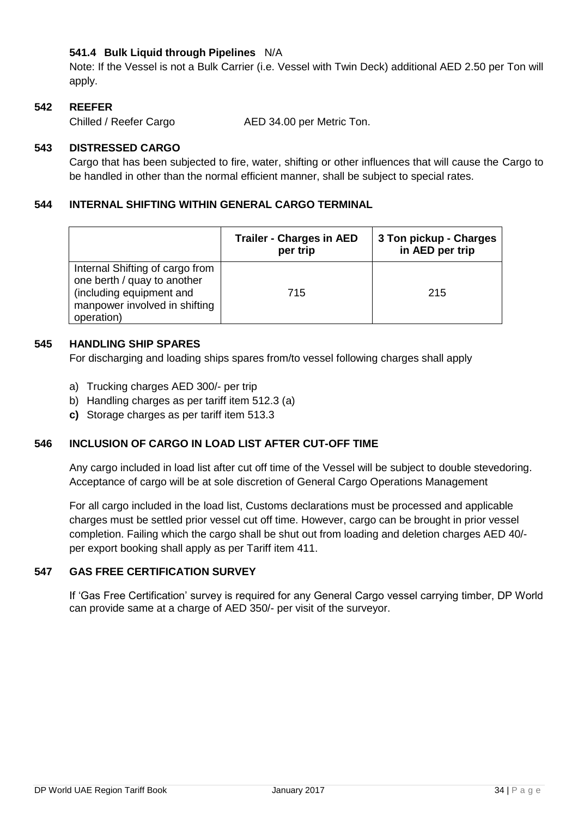# **541.4 Bulk Liquid through Pipelines** N/A

Note: If the Vessel is not a Bulk Carrier (i.e. Vessel with Twin Deck) additional AED 2.50 per Ton will apply.

## **542 REEFER**

Chilled / Reefer Cargo AED 34.00 per Metric Ton.

## **543 DISTRESSED CARGO**

Cargo that has been subjected to fire, water, shifting or other influences that will cause the Cargo to be handled in other than the normal efficient manner, shall be subject to special rates.

## **544 INTERNAL SHIFTING WITHIN GENERAL CARGO TERMINAL**

|                                                                                                                                           | <b>Trailer - Charges in AED</b><br>per trip | 3 Ton pickup - Charges<br>in AED per trip |
|-------------------------------------------------------------------------------------------------------------------------------------------|---------------------------------------------|-------------------------------------------|
| Internal Shifting of cargo from<br>one berth / quay to another<br>(including equipment and<br>manpower involved in shifting<br>operation) | 715                                         | 215                                       |

## **545 HANDLING SHIP SPARES**

For discharging and loading ships spares from/to vessel following charges shall apply

- a) Trucking charges AED 300/- per trip
- b) Handling charges as per tariff item 512.3 (a)
- **c)** Storage charges as per tariff item 513.3

# **546 INCLUSION OF CARGO IN LOAD LIST AFTER CUT-OFF TIME**

Any cargo included in load list after cut off time of the Vessel will be subject to double stevedoring. Acceptance of cargo will be at sole discretion of General Cargo Operations Management

For all cargo included in the load list, Customs declarations must be processed and applicable charges must be settled prior vessel cut off time. However, cargo can be brought in prior vessel completion. Failing which the cargo shall be shut out from loading and deletion charges AED 40/ per export booking shall apply as per Tariff item 411.

#### **547 GAS FREE CERTIFICATION SURVEY**

If 'Gas Free Certification' survey is required for any General Cargo vessel carrying timber, DP World can provide same at a charge of AED 350/- per visit of the surveyor.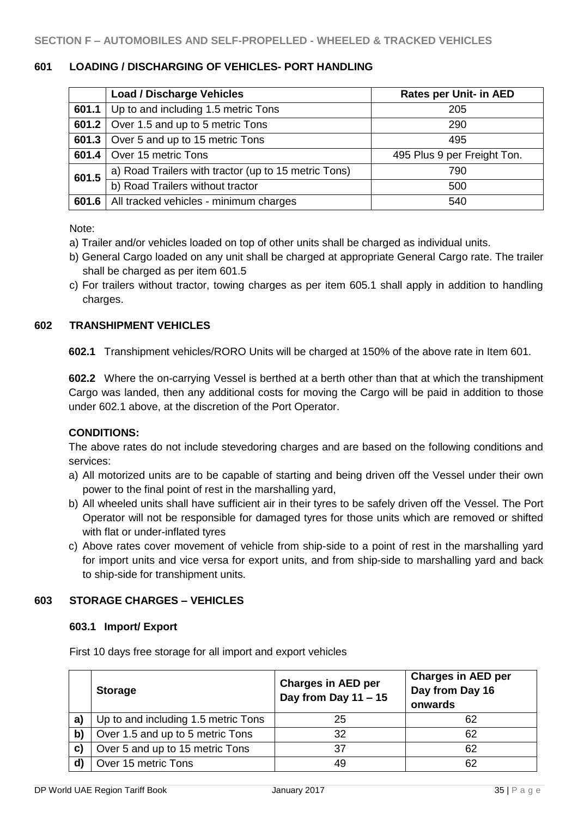#### **601 LOADING / DISCHARGING OF VEHICLES- PORT HANDLING**

|       | <b>Load / Discharge Vehicles</b>                     | <b>Rates per Unit- in AED</b> |
|-------|------------------------------------------------------|-------------------------------|
| 601.1 | Up to and including 1.5 metric Tons                  | 205                           |
|       | 601.2   Over 1.5 and up to 5 metric Tons             | 290                           |
| 601.3 | Over 5 and up to 15 metric Tons                      | 495                           |
| 601.4 | Over 15 metric Tons                                  | 495 Plus 9 per Freight Ton.   |
| 601.5 | a) Road Trailers with tractor (up to 15 metric Tons) | 790                           |
|       | b) Road Trailers without tractor                     | 500                           |
| 601.6 | All tracked vehicles - minimum charges               | 540                           |

Note:

- a) Trailer and/or vehicles loaded on top of other units shall be charged as individual units.
- b) General Cargo loaded on any unit shall be charged at appropriate General Cargo rate. The trailer shall be charged as per item 601.5
- c) For trailers without tractor, towing charges as per item 605.1 shall apply in addition to handling charges.

#### **602 TRANSHIPMENT VEHICLES**

**602.1** Transhipment vehicles/RORO Units will be charged at 150% of the above rate in Item 601.

**602.2** Where the on-carrying Vessel is berthed at a berth other than that at which the transhipment Cargo was landed, then any additional costs for moving the Cargo will be paid in addition to those under 602.1 above, at the discretion of the Port Operator.

#### **CONDITIONS:**

The above rates do not include stevedoring charges and are based on the following conditions and services:

- a) All motorized units are to be capable of starting and being driven off the Vessel under their own power to the final point of rest in the marshalling yard,
- b) All wheeled units shall have sufficient air in their tyres to be safely driven off the Vessel. The Port Operator will not be responsible for damaged tyres for those units which are removed or shifted with flat or under-inflated tyres
- c) Above rates cover movement of vehicle from ship-side to a point of rest in the marshalling yard for import units and vice versa for export units, and from ship-side to marshalling yard and back to ship-side for transhipment units.

## **603 STORAGE CHARGES – VEHICLES**

## **603.1 Import/ Export**

First 10 days free storage for all import and export vehicles

|              | <b>Storage</b>                      | <b>Charges in AED per</b><br>Day from Day 11 - 15 | <b>Charges in AED per</b><br>Day from Day 16<br>onwards |
|--------------|-------------------------------------|---------------------------------------------------|---------------------------------------------------------|
| a)           | Up to and including 1.5 metric Tons | 25                                                | 62                                                      |
| $\mathbf{b}$ | Over 1.5 and up to 5 metric Tons    | 32                                                | 62                                                      |
| C)           | Over 5 and up to 15 metric Tons     | 37                                                | 62                                                      |
| $\mathbf{d}$ | Over 15 metric Tons                 |                                                   | 62                                                      |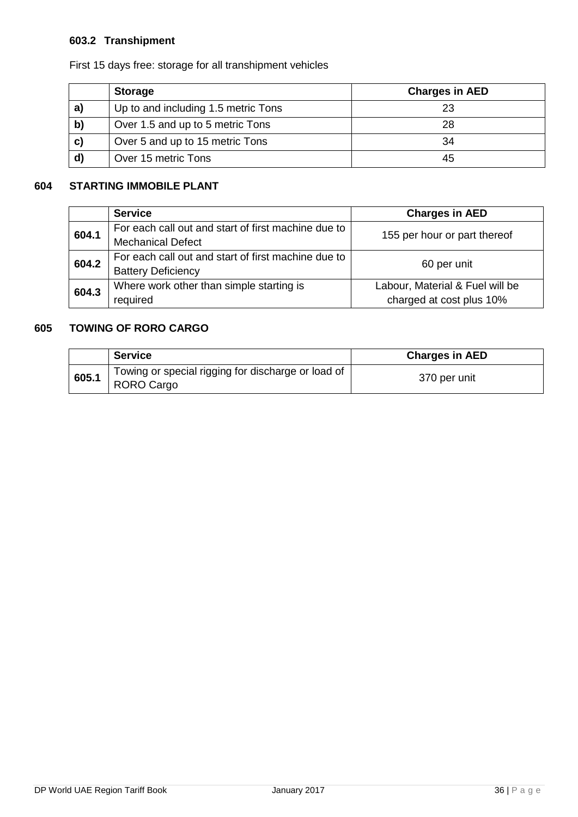# **603.2 Transhipment**

First 15 days free: storage for all transhipment vehicles

|              | <b>Storage</b>                      | <b>Charges in AED</b> |
|--------------|-------------------------------------|-----------------------|
| a            | Up to and including 1.5 metric Tons |                       |
| $\mathbf{b}$ | Over 1.5 and up to 5 metric Tons    | 28                    |
| $\mathbf{c}$ | Over 5 and up to 15 metric Tons     | 34                    |
|              | Over 15 metric Tons                 | 45                    |

# **604 STARTING IMMOBILE PLANT**

|       | <b>Service</b>                                      | <b>Charges in AED</b>           |  |
|-------|-----------------------------------------------------|---------------------------------|--|
| 604.1 | For each call out and start of first machine due to | 155 per hour or part thereof    |  |
|       | <b>Mechanical Defect</b>                            |                                 |  |
| 604.2 | For each call out and start of first machine due to | 60 per unit                     |  |
|       | <b>Battery Deficiency</b>                           |                                 |  |
| 604.3 | Where work other than simple starting is            | Labour, Material & Fuel will be |  |
|       | required                                            | charged at cost plus 10%        |  |

# **605 TOWING OF RORO CARGO**

|       | <b>Service</b>                                                   | <b>Charges in AED</b> |
|-------|------------------------------------------------------------------|-----------------------|
| 605.1 | Towing or special rigging for discharge or load of<br>RORO Cargo | 370 per unit          |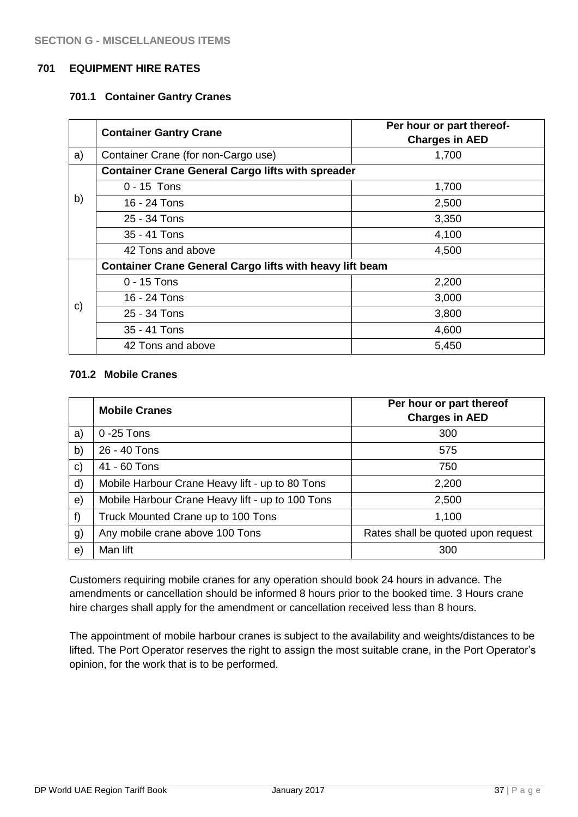#### **701 EQUIPMENT HIRE RATES**

#### **701.1 Container Gantry Cranes**

|              | <b>Container Gantry Crane</b>                                   | Per hour or part thereof-<br><b>Charges in AED</b> |
|--------------|-----------------------------------------------------------------|----------------------------------------------------|
| a)           | Container Crane (for non-Cargo use)                             | 1,700                                              |
|              | <b>Container Crane General Cargo lifts with spreader</b>        |                                                    |
|              | $0 - 15$ Tons                                                   | 1,700                                              |
| b)           | 16 - 24 Tons                                                    | 2,500                                              |
|              | $25 - 34$ Tons                                                  | 3,350                                              |
|              | 35 - 41 Tons                                                    | 4,100                                              |
|              | 42 Tons and above                                               | 4,500                                              |
|              | <b>Container Crane General Cargo lifts with heavy lift beam</b> |                                                    |
|              | $0 - 15$ Tons                                                   | 2,200                                              |
| $\mathbf{c}$ | 16 - 24 Tons                                                    | 3,000                                              |
|              | 25 - 34 Tons                                                    | 3,800                                              |
|              | 35 - 41 Tons                                                    | 4,600                                              |
|              | 42 Tons and above                                               | 5,450                                              |

#### **701.2 Mobile Cranes**

|              | <b>Mobile Cranes</b>                             | Per hour or part thereof<br><b>Charges in AED</b> |
|--------------|--------------------------------------------------|---------------------------------------------------|
| a)           | $0 - 25$ Tons                                    | 300                                               |
| b)           | 26 - 40 Tons                                     | 575                                               |
| $\mathbf{c}$ | 41 - 60 Tons                                     | 750                                               |
| d)           | Mobile Harbour Crane Heavy lift - up to 80 Tons  | 2,200                                             |
| $\Theta$ )   | Mobile Harbour Crane Heavy lift - up to 100 Tons | 2,500                                             |
| f)           | Truck Mounted Crane up to 100 Tons               | 1,100                                             |
| g)           | Any mobile crane above 100 Tons                  | Rates shall be quoted upon request                |
| e)           | Man lift                                         | 300                                               |

Customers requiring mobile cranes for any operation should book 24 hours in advance. The amendments or cancellation should be informed 8 hours prior to the booked time. 3 Hours crane hire charges shall apply for the amendment or cancellation received less than 8 hours.

The appointment of mobile harbour cranes is subject to the availability and weights/distances to be lifted. The Port Operator reserves the right to assign the most suitable crane, in the Port Operator's opinion, for the work that is to be performed.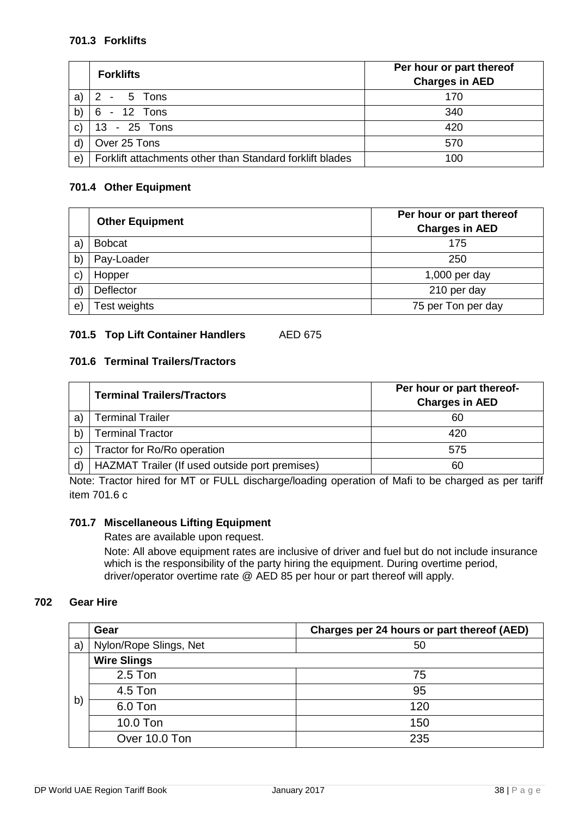## **701.3 Forklifts**

|              | <b>Forklifts</b>                                         | Per hour or part thereof<br><b>Charges in AED</b> |
|--------------|----------------------------------------------------------|---------------------------------------------------|
| a)           | 2 - 5 Tons                                               | 170                                               |
| b)           | 6 - 12 Tons                                              | 340                                               |
| $\mathsf{C}$ | 13 - 25 Tons                                             | 420                                               |
| $\mathsf{d}$ | Over 25 Tons                                             | 570                                               |
| e)           | Forklift attachments other than Standard forklift blades | 100                                               |

## **701.4 Other Equipment**

|              | <b>Other Equipment</b> | Per hour or part thereof<br><b>Charges in AED</b> |
|--------------|------------------------|---------------------------------------------------|
| a            | <b>Bobcat</b>          | 175                                               |
| $\mathsf{b}$ | Pay-Loader             | 250                                               |
| $\mathbf{C}$ | Hopper                 | $1,000$ per day                                   |
| $\mathsf{d}$ | Deflector              | 210 per day                                       |
| e)           | <b>Test weights</b>    | 75 per Ton per day                                |

# **701.5 Top Lift Container Handlers** AED 675

# **701.6 Terminal Trailers/Tractors**

|    | <b>Terminal Trailers/Tractors</b>              | Per hour or part thereof-<br><b>Charges in AED</b> |
|----|------------------------------------------------|----------------------------------------------------|
| a) | <b>Terminal Trailer</b>                        | 60                                                 |
| b) | <b>Terminal Tractor</b>                        | 420                                                |
| C) | Tractor for Ro/Ro operation                    | 575                                                |
|    | HAZMAT Trailer (If used outside port premises) | 60                                                 |

Note: Tractor hired for MT or FULL discharge/loading operation of Mafi to be charged as per tariff item 701.6 c

#### **701.7 Miscellaneous Lifting Equipment**

Rates are available upon request.

Note: All above equipment rates are inclusive of driver and fuel but do not include insurance which is the responsibility of the party hiring the equipment. During overtime period, driver/operator overtime rate @ AED 85 per hour or part thereof will apply.

## **702 Gear Hire**

|    | Gear                   | Charges per 24 hours or part thereof (AED) |
|----|------------------------|--------------------------------------------|
| a) | Nylon/Rope Slings, Net | 50                                         |
| b) | <b>Wire Slings</b>     |                                            |
|    | $2.5$ Ton              | 75                                         |
|    | 4.5 Ton                | 95                                         |
|    | 6.0 Ton                | 120                                        |
|    | 10.0 Ton               | 150                                        |
|    | Over 10.0 Ton          | 235                                        |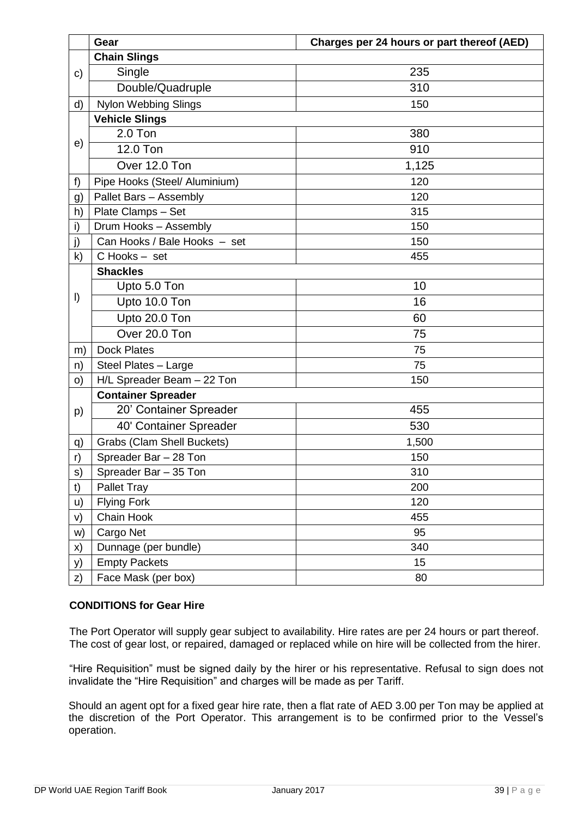|              | Gear                              | Charges per 24 hours or part thereof (AED) |
|--------------|-----------------------------------|--------------------------------------------|
|              | <b>Chain Slings</b>               |                                            |
| c)           | Single                            | 235                                        |
|              | Double/Quadruple                  | 310                                        |
| d)           | <b>Nylon Webbing Slings</b>       | 150                                        |
|              | <b>Vehicle Slings</b>             |                                            |
|              | $2.0$ Ton                         | 380                                        |
| e)           | 12.0 Ton                          | 910                                        |
|              | Over 12.0 Ton                     | 1,125                                      |
| f)           | Pipe Hooks (Steel/ Aluminium)     | 120                                        |
| g)           | Pallet Bars - Assembly            | 120                                        |
| h)           | Plate Clamps - Set                | 315                                        |
| i)           | Drum Hooks - Assembly             | 150                                        |
| j)           | Can Hooks / Bale Hooks - set      | 150                                        |
| $\mathsf{k}$ | C Hooks - set                     | 455                                        |
|              | <b>Shackles</b>                   |                                            |
|              | Upto 5.0 Ton                      | 10                                         |
| I)           | Upto 10.0 Ton                     | 16                                         |
|              | Upto 20.0 Ton                     | 60                                         |
|              | Over 20.0 Ton                     | 75                                         |
| m)           | <b>Dock Plates</b>                | 75                                         |
| n)           | Steel Plates - Large              | 75                                         |
| O)           | H/L Spreader Beam - 22 Ton        | 150                                        |
|              | <b>Container Spreader</b>         |                                            |
| p)           | 20' Container Spreader            | 455                                        |
|              | 40' Container Spreader            | 530                                        |
| q)           | <b>Grabs (Clam Shell Buckets)</b> | 1,500                                      |
| r)           | Spreader Bar - 28 Ton             | 150                                        |
| s)           | Spreader Bar – 35 Ton             | 310                                        |
| t)           | <b>Pallet Tray</b>                | 200                                        |
| u)           | <b>Flying Fork</b>                | 120                                        |
| V)           | Chain Hook                        | 455                                        |
| w)           | Cargo Net                         | 95                                         |
| X)           | Dunnage (per bundle)              | 340                                        |
| y)           | <b>Empty Packets</b>              | 15                                         |
| z)           | Face Mask (per box)               | 80                                         |

#### **CONDITIONS for Gear Hire**

The Port Operator will supply gear subject to availability. Hire rates are per 24 hours or part thereof. The cost of gear lost, or repaired, damaged or replaced while on hire will be collected from the hirer.

"Hire Requisition" must be signed daily by the hirer or his representative. Refusal to sign does not invalidate the "Hire Requisition" and charges will be made as per Tariff.

Should an agent opt for a fixed gear hire rate, then a flat rate of AED 3.00 per Ton may be applied at the discretion of the Port Operator. This arrangement is to be confirmed prior to the Vessel's operation.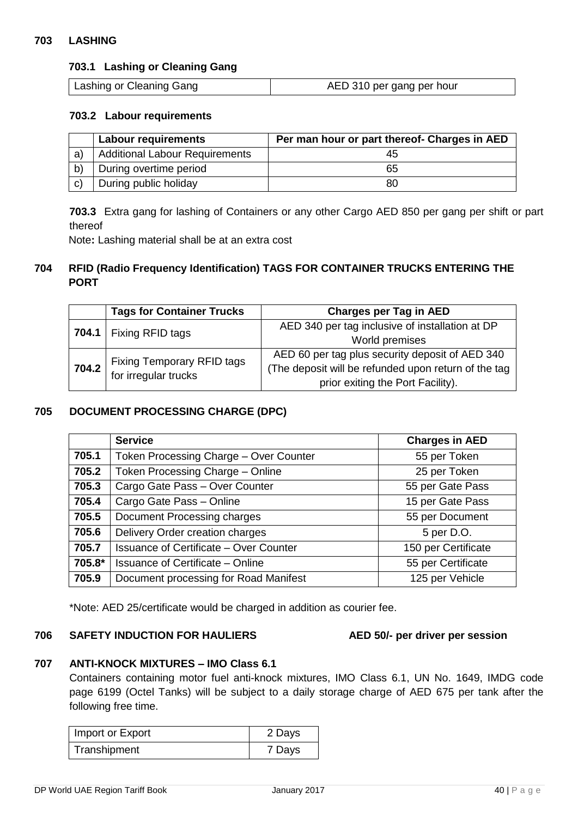#### **703 LASHING**

#### **703.1 Lashing or Cleaning Gang**

| Lashing or Cleaning Gang | AED 310 per gang per hour |
|--------------------------|---------------------------|
|--------------------------|---------------------------|

#### **703.2 Labour requirements**

|              | <b>Labour requirements</b>            | Per man hour or part thereof- Charges in AED |
|--------------|---------------------------------------|----------------------------------------------|
| a)           | <b>Additional Labour Requirements</b> | 45                                           |
| b)           | During overtime period                | 65                                           |
| $\mathbf{C}$ | During public holiday                 | 80                                           |

**703.3** Extra gang for lashing of Containers or any other Cargo AED 850 per gang per shift or part thereof

Note**:** Lashing material shall be at an extra cost

## **704 RFID (Radio Frequency Identification) TAGS FOR CONTAINER TRUCKS ENTERING THE PORT**

| <b>Tags for Container Trucks</b>                                | <b>Charges per Tag in AED</b>                        |
|-----------------------------------------------------------------|------------------------------------------------------|
| 704.1   Fixing RFID tags                                        | AED 340 per tag inclusive of installation at DP      |
|                                                                 | World premises                                       |
| <b>704.2</b> Fixing Temporary RFID tags<br>for irregular trucks | AED 60 per tag plus security deposit of AED 340      |
|                                                                 | (The deposit will be refunded upon return of the tag |
|                                                                 | prior exiting the Port Facility).                    |

#### **705 DOCUMENT PROCESSING CHARGE (DPC)**

|        | <b>Service</b>                                                       | <b>Charges in AED</b> |
|--------|----------------------------------------------------------------------|-----------------------|
| 705.1  | Token Processing Charge - Over Counter                               | 55 per Token          |
| 705.2  | Token Processing Charge - Online<br>25 per Token                     |                       |
| 705.3  | Cargo Gate Pass - Over Counter<br>55 per Gate Pass                   |                       |
| 705.4  | Cargo Gate Pass - Online<br>15 per Gate Pass                         |                       |
| 705.5  | Document Processing charges<br>55 per Document                       |                       |
| 705.6  | Delivery Order creation charges<br>5 per D.O.                        |                       |
| 705.7  | 150 per Certificate<br><b>Issuance of Certificate – Over Counter</b> |                       |
| 705.8* | <b>Issuance of Certificate - Online</b>                              | 55 per Certificate    |
| 705.9  | Document processing for Road Manifest                                | 125 per Vehicle       |

\*Note: AED 25/certificate would be charged in addition as courier fee.

#### **706 SAFETY INDUCTION FOR HAULIERS AED 50/- per driver per session**

## **707 ANTI-KNOCK MIXTURES – IMO Class 6.1**

Containers containing motor fuel anti-knock mixtures, IMO Class 6.1, UN No. 1649, IMDG code page 6199 (Octel Tanks) will be subject to a daily storage charge of AED 675 per tank after the following free time.

| Import or Export | 2 Days |
|------------------|--------|
| Transhipment     | 7 Days |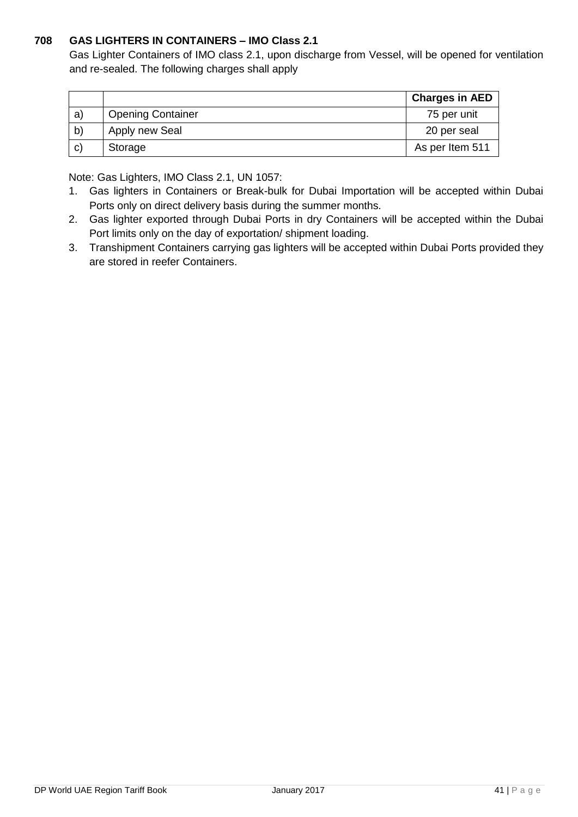# **708 GAS LIGHTERS IN CONTAINERS – IMO Class 2.1**

Gas Lighter Containers of IMO class 2.1, upon discharge from Vessel, will be opened for ventilation and re-sealed. The following charges shall apply

|    |                          | <b>Charges in AED</b> |
|----|--------------------------|-----------------------|
| a) | <b>Opening Container</b> | 75 per unit           |
| b) | Apply new Seal           | 20 per seal           |
| C) | Storage                  | As per Item 511       |

Note: Gas Lighters, IMO Class 2.1, UN 1057:

- 1. Gas lighters in Containers or Break-bulk for Dubai Importation will be accepted within Dubai Ports only on direct delivery basis during the summer months.
- 2. Gas lighter exported through Dubai Ports in dry Containers will be accepted within the Dubai Port limits only on the day of exportation/ shipment loading.
- 3. Transhipment Containers carrying gas lighters will be accepted within Dubai Ports provided they are stored in reefer Containers.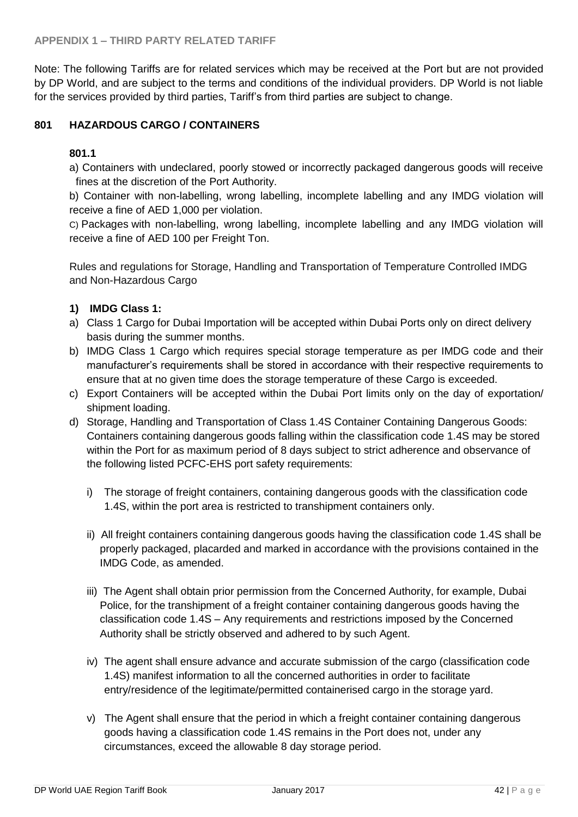Note: The following Tariffs are for related services which may be received at the Port but are not provided by DP World, and are subject to the terms and conditions of the individual providers. DP World is not liable for the services provided by third parties, Tariff's from third parties are subject to change.

## **801 HAZARDOUS CARGO / CONTAINERS**

## **801.1**

a) Containers with undeclared, poorly stowed or incorrectly packaged dangerous goods will receive fines at the discretion of the Port Authority.

b) Container with non-labelling, wrong labelling, incomplete labelling and any IMDG violation will receive a fine of AED 1,000 per violation.

C) Packages with non-labelling, wrong labelling, incomplete labelling and any IMDG violation will receive a fine of AED 100 per Freight Ton.

Rules and regulations for Storage, Handling and Transportation of Temperature Controlled IMDG and Non-Hazardous Cargo

## **1) IMDG Class 1:**

- a) Class 1 Cargo for Dubai Importation will be accepted within Dubai Ports only on direct delivery basis during the summer months.
- b) IMDG Class 1 Cargo which requires special storage temperature as per IMDG code and their manufacturer's requirements shall be stored in accordance with their respective requirements to ensure that at no given time does the storage temperature of these Cargo is exceeded.
- c) Export Containers will be accepted within the Dubai Port limits only on the day of exportation/ shipment loading.
- d) Storage, Handling and Transportation of Class 1.4S Container Containing Dangerous Goods: Containers containing dangerous goods falling within the classification code 1.4S may be stored within the Port for as maximum period of 8 days subject to strict adherence and observance of the following listed PCFC-EHS port safety requirements:
	- i) The storage of freight containers, containing dangerous goods with the classification code 1.4S, within the port area is restricted to transhipment containers only.
	- ii) All freight containers containing dangerous goods having the classification code 1.4S shall be properly packaged, placarded and marked in accordance with the provisions contained in the IMDG Code, as amended.
	- iii) The Agent shall obtain prior permission from the Concerned Authority, for example, Dubai Police, for the transhipment of a freight container containing dangerous goods having the classification code 1.4S – Any requirements and restrictions imposed by the Concerned Authority shall be strictly observed and adhered to by such Agent.
	- iv) The agent shall ensure advance and accurate submission of the cargo (classification code 1.4S) manifest information to all the concerned authorities in order to facilitate entry/residence of the legitimate/permitted containerised cargo in the storage yard.
	- v) The Agent shall ensure that the period in which a freight container containing dangerous goods having a classification code 1.4S remains in the Port does not, under any circumstances, exceed the allowable 8 day storage period.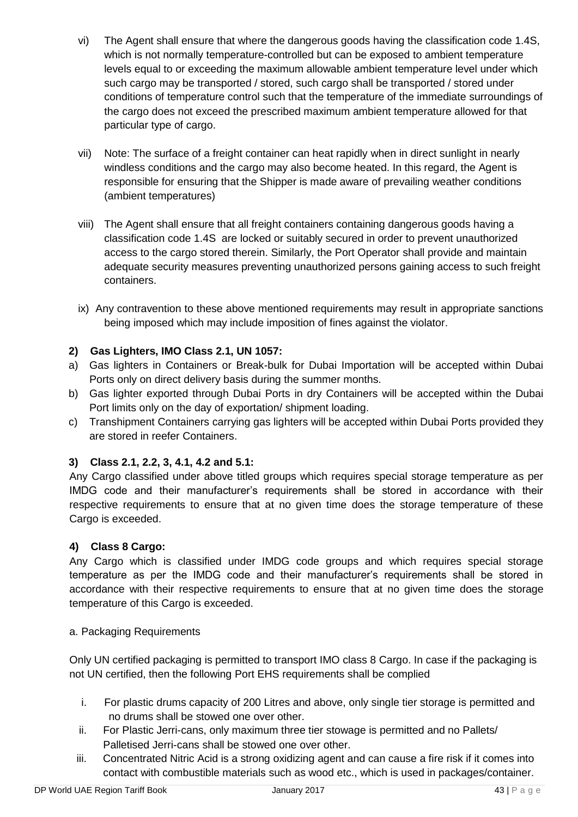- vi) The Agent shall ensure that where the dangerous goods having the classification code 1.4S, which is not normally temperature-controlled but can be exposed to ambient temperature levels equal to or exceeding the maximum allowable ambient temperature level under which such cargo may be transported / stored, such cargo shall be transported / stored under conditions of temperature control such that the temperature of the immediate surroundings of the cargo does not exceed the prescribed maximum ambient temperature allowed for that particular type of cargo.
- vii) Note: The surface of a freight container can heat rapidly when in direct sunlight in nearly windless conditions and the cargo may also become heated. In this regard, the Agent is responsible for ensuring that the Shipper is made aware of prevailing weather conditions (ambient temperatures)
- viii) The Agent shall ensure that all freight containers containing dangerous goods having a classification code 1.4S are locked or suitably secured in order to prevent unauthorized access to the cargo stored therein. Similarly, the Port Operator shall provide and maintain adequate security measures preventing unauthorized persons gaining access to such freight containers.
- ix) Any contravention to these above mentioned requirements may result in appropriate sanctions being imposed which may include imposition of fines against the violator.

# **2) Gas Lighters, IMO Class 2.1, UN 1057:**

- a) Gas lighters in Containers or Break-bulk for Dubai Importation will be accepted within Dubai Ports only on direct delivery basis during the summer months.
- b) Gas lighter exported through Dubai Ports in dry Containers will be accepted within the Dubai Port limits only on the day of exportation/ shipment loading.
- c) Transhipment Containers carrying gas lighters will be accepted within Dubai Ports provided they are stored in reefer Containers.

# **3) Class 2.1, 2.2, 3, 4.1, 4.2 and 5.1:**

Any Cargo classified under above titled groups which requires special storage temperature as per IMDG code and their manufacturer's requirements shall be stored in accordance with their respective requirements to ensure that at no given time does the storage temperature of these Cargo is exceeded.

# **4) Class 8 Cargo:**

Any Cargo which is classified under IMDG code groups and which requires special storage temperature as per the IMDG code and their manufacturer's requirements shall be stored in accordance with their respective requirements to ensure that at no given time does the storage temperature of this Cargo is exceeded.

#### a. Packaging Requirements

Only UN certified packaging is permitted to transport IMO class 8 Cargo. In case if the packaging is not UN certified, then the following Port EHS requirements shall be complied

- i. For plastic drums capacity of 200 Litres and above, only single tier storage is permitted and no drums shall be stowed one over other.
- ii. For Plastic Jerri-cans, only maximum three tier stowage is permitted and no Pallets/ Palletised Jerri-cans shall be stowed one over other.
- iii. Concentrated Nitric Acid is a strong oxidizing agent and can cause a fire risk if it comes into contact with combustible materials such as wood etc., which is used in packages/container.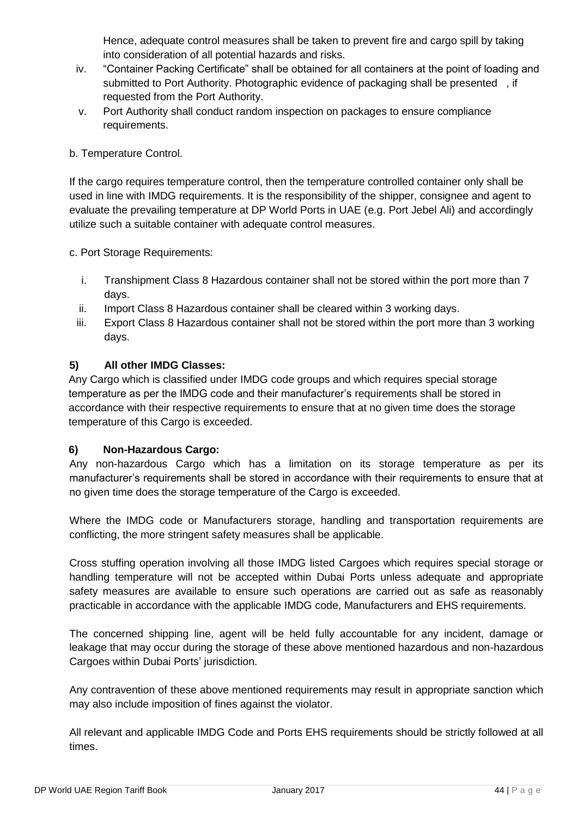Hence, adequate control measures shall be taken to prevent fire and cargo spill by taking into consideration of all potential hazards and risks.

- iv. "Container Packing Certificate" shall be obtained for all containers at the point of loading and submitted to Port Authority. Photographic evidence of packaging shall be presented , if requested from the Port Authority.
- v. Port Authority shall conduct random inspection on packages to ensure compliance requirements.

## b. Temperature Control.

If the cargo requires temperature control, then the temperature controlled container only shall be used in line with IMDG requirements. It is the responsibility of the shipper, consignee and agent to evaluate the prevailing temperature at DP World Ports in UAE (e.g. Port Jebel Ali) and accordingly utilize such a suitable container with adequate control measures.

c. Port Storage Requirements:

- i. Transhipment Class 8 Hazardous container shall not be stored within the port more than 7 days.
- ii. Import Class 8 Hazardous container shall be cleared within 3 working days.
- iii. Export Class 8 Hazardous container shall not be stored within the port more than 3 working days.

## **5) All other IMDG Classes:**

Any Cargo which is classified under IMDG code groups and which requires special storage temperature as per the IMDG code and their manufacturer's requirements shall be stored in accordance with their respective requirements to ensure that at no given time does the storage temperature of this Cargo is exceeded.

#### **6) Non-Hazardous Cargo:**

Any non-hazardous Cargo which has a limitation on its storage temperature as per its manufacturer's requirements shall be stored in accordance with their requirements to ensure that at no given time does the storage temperature of the Cargo is exceeded.

Where the IMDG code or Manufacturers storage, handling and transportation requirements are conflicting, the more stringent safety measures shall be applicable.

Cross stuffing operation involving all those IMDG listed Cargoes which requires special storage or handling temperature will not be accepted within Dubai Ports unless adequate and appropriate safety measures are available to ensure such operations are carried out as safe as reasonably practicable in accordance with the applicable IMDG code, Manufacturers and EHS requirements.

The concerned shipping line, agent will be held fully accountable for any incident, damage or leakage that may occur during the storage of these above mentioned hazardous and non-hazardous Cargoes within Dubai Ports' jurisdiction.

Any contravention of these above mentioned requirements may result in appropriate sanction which may also include imposition of fines against the violator.

All relevant and applicable IMDG Code and Ports EHS requirements should be strictly followed at all times.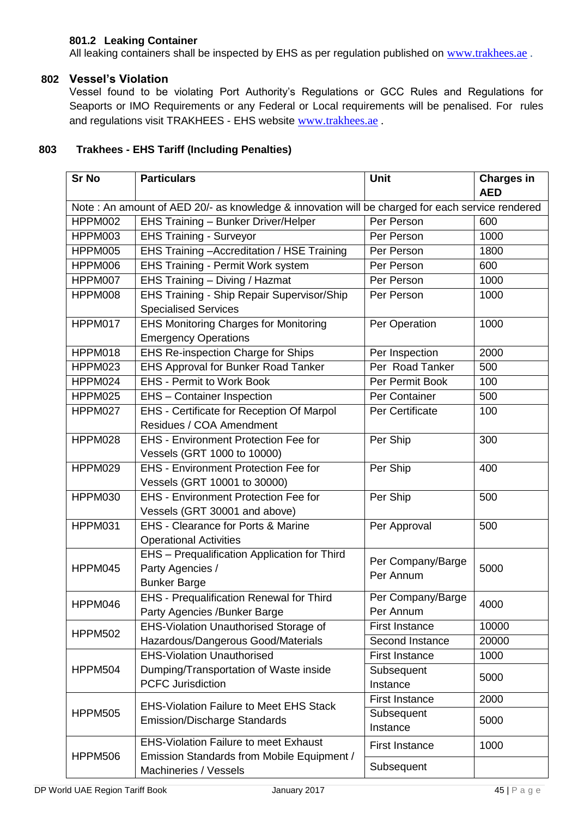# **801.2 Leaking Container**

All leaking containers shall be inspected by EHS as per regulation published on [www.trakhees.ae](http://www.trakhees.ae/).

## **802 Vessel's Violation**

Vessel found to be violating Port Authority's Regulations or GCC Rules and Regulations for Seaports or IMO Requirements or any Federal or Local requirements will be penalised. For rules and regulations visit TRAKHEES - EHS website [www.trakhees.ae](http://www.trakhees.ae/).

# **803 Trakhees - EHS Tariff (Including Penalties)**

| <b>Sr No</b>                                                                                     | <b>Particulars</b>                               | <b>Unit</b>           | <b>Charges in</b> |
|--------------------------------------------------------------------------------------------------|--------------------------------------------------|-----------------------|-------------------|
|                                                                                                  |                                                  |                       | <b>AED</b>        |
| Note : An amount of AED 20/- as knowledge & innovation will be charged for each service rendered |                                                  |                       |                   |
| HPPM002<br>EHS Training - Bunker Driver/Helper                                                   |                                                  | Per Person            | 600               |
| HPPM003                                                                                          | <b>EHS Training - Surveyor</b><br>Per Person     |                       | 1000              |
| HPPM005                                                                                          | EHS Training - Accreditation / HSE Training      | Per Person            | 1800              |
| HPPM006                                                                                          | EHS Training - Permit Work system                | Per Person            | 600               |
| HPPM007                                                                                          | EHS Training - Diving / Hazmat                   | Per Person            | 1000              |
| HPPM008                                                                                          | EHS Training - Ship Repair Supervisor/Ship       | Per Person            | 1000              |
|                                                                                                  | <b>Specialised Services</b>                      |                       |                   |
| HPPM017                                                                                          | <b>EHS Monitoring Charges for Monitoring</b>     | Per Operation         | 1000              |
|                                                                                                  | <b>Emergency Operations</b>                      |                       |                   |
| HPPM018                                                                                          | EHS Re-inspection Charge for Ships               | Per Inspection        | 2000              |
| HPPM023                                                                                          | <b>EHS Approval for Bunker Road Tanker</b>       | Per Road Tanker       | 500               |
| HPPM024                                                                                          | <b>EHS - Permit to Work Book</b>                 | Per Permit Book       | 100               |
| HPPM025                                                                                          | EHS - Container Inspection                       | Per Container         | 500               |
| HPPM027                                                                                          | <b>EHS</b> - Certificate for Reception Of Marpol | Per Certificate       | 100               |
|                                                                                                  | Residues / COA Amendment                         |                       |                   |
| HPPM028                                                                                          | <b>EHS - Environment Protection Fee for</b>      | Per Ship              | 300               |
|                                                                                                  | Vessels (GRT 1000 to 10000)                      |                       |                   |
| HPPM029                                                                                          | <b>EHS - Environment Protection Fee for</b>      | Per Ship              | 400               |
|                                                                                                  | Vessels (GRT 10001 to 30000)                     |                       |                   |
| HPPM030                                                                                          | <b>EHS - Environment Protection Fee for</b>      | Per Ship              | 500               |
|                                                                                                  | Vessels (GRT 30001 and above)                    |                       |                   |
| HPPM031<br><b>EHS - Clearance for Ports &amp; Marine</b>                                         |                                                  | Per Approval          | 500               |
|                                                                                                  | <b>Operational Activities</b>                    |                       |                   |
|                                                                                                  | EHS - Prequalification Application for Third     | Per Company/Barge     |                   |
| HPPM045                                                                                          | Party Agencies /                                 | Per Annum             | 5000              |
|                                                                                                  | <b>Bunker Barge</b>                              |                       |                   |
| HPPM046                                                                                          | EHS - Prequalification Renewal for Third         | Per Company/Barge     | 4000              |
|                                                                                                  | Party Agencies /Bunker Barge                     | Per Annum             |                   |
| <b>HPPM502</b>                                                                                   | EHS-Violation Unauthorised Storage of            | <b>First Instance</b> | 10000             |
|                                                                                                  | Hazardous/Dangerous Good/Materials               | Second Instance       | 20000             |
|                                                                                                  | <b>EHS-Violation Unauthorised</b>                | <b>First Instance</b> | 1000              |
| <b>HPPM504</b>                                                                                   | Dumping/Transportation of Waste inside           | Subsequent            | 5000              |
|                                                                                                  | <b>PCFC Jurisdiction</b>                         | Instance              |                   |
|                                                                                                  | <b>EHS-Violation Failure to Meet EHS Stack</b>   | <b>First Instance</b> | 2000              |
| <b>HPPM505</b>                                                                                   | <b>Emission/Discharge Standards</b>              | Subsequent            | 5000              |
|                                                                                                  |                                                  | Instance              |                   |
|                                                                                                  | <b>EHS-Violation Failure to meet Exhaust</b>     | <b>First Instance</b> | 1000              |
| HPPM506                                                                                          | Emission Standards from Mobile Equipment /       | Subsequent            |                   |
|                                                                                                  | Machineries / Vessels                            |                       |                   |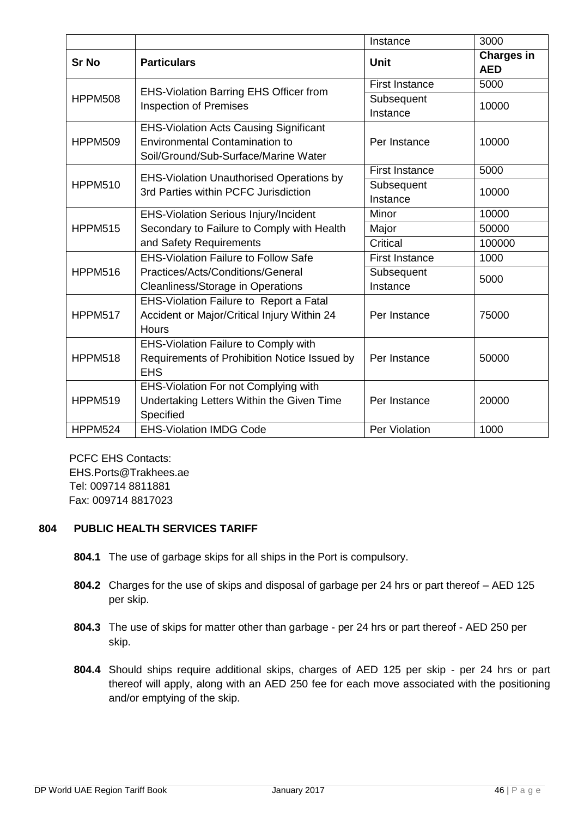|                |                                                                                                                                | Instance               | 3000                            |
|----------------|--------------------------------------------------------------------------------------------------------------------------------|------------------------|---------------------------------|
| <b>Sr No</b>   | <b>Particulars</b>                                                                                                             | <b>Unit</b>            | <b>Charges in</b><br><b>AED</b> |
|                | <b>EHS-Violation Barring EHS Officer from</b><br><b>Inspection of Premises</b>                                                 | <b>First Instance</b>  | 5000                            |
| <b>HPPM508</b> |                                                                                                                                | Subsequent<br>Instance | 10000                           |
| <b>HPPM509</b> | <b>EHS-Violation Acts Causing Significant</b><br><b>Environmental Contamination to</b><br>Soil/Ground/Sub-Surface/Marine Water | Per Instance           | 10000                           |
|                |                                                                                                                                | <b>First Instance</b>  | 5000                            |
| <b>HPPM510</b> | <b>EHS-Violation Unauthorised Operations by</b><br>3rd Parties within PCFC Jurisdiction                                        | Subsequent<br>Instance | 10000                           |
|                | <b>EHS-Violation Serious Injury/Incident</b>                                                                                   | Minor                  | 10000                           |
| <b>HPPM515</b> | Secondary to Failure to Comply with Health                                                                                     | Major                  | 50000                           |
|                | and Safety Requirements                                                                                                        | Critical               | 100000                          |
|                | <b>EHS-Violation Failure to Follow Safe</b>                                                                                    | <b>First Instance</b>  | 1000                            |
| <b>HPPM516</b> | Practices/Acts/Conditions/General<br><b>Cleanliness/Storage in Operations</b>                                                  | Subsequent<br>Instance | 5000                            |
| <b>HPPM517</b> | EHS-Violation Failure to Report a Fatal<br>Accident or Major/Critical Injury Within 24<br><b>Hours</b>                         |                        | 75000                           |
| <b>HPPM518</b> | EHS-Violation Failure to Comply with<br>Requirements of Prohibition Notice Issued by<br><b>EHS</b>                             | Per Instance           | 50000                           |
| <b>HPPM519</b> | EHS-Violation For not Complying with<br>Undertaking Letters Within the Given Time<br>Specified                                 | Per Instance           | 20000                           |
| <b>HPPM524</b> | <b>EHS-Violation IMDG Code</b>                                                                                                 | Per Violation          | 1000                            |

PCFC EHS Contacts: EHS.Ports@Trakhees.ae Tel: 009714 8811881 Fax: 009714 8817023

#### **804 PUBLIC HEALTH SERVICES TARIFF**

- **804.1** The use of garbage skips for all ships in the Port is compulsory.
- **804.2** Charges for the use of skips and disposal of garbage per 24 hrs or part thereof AED 125 per skip.
- **804.3** The use of skips for matter other than garbage per 24 hrs or part thereof AED 250 per skip.
- **804.4** Should ships require additional skips, charges of AED 125 per skip per 24 hrs or part thereof will apply, along with an AED 250 fee for each move associated with the positioning and/or emptying of the skip.